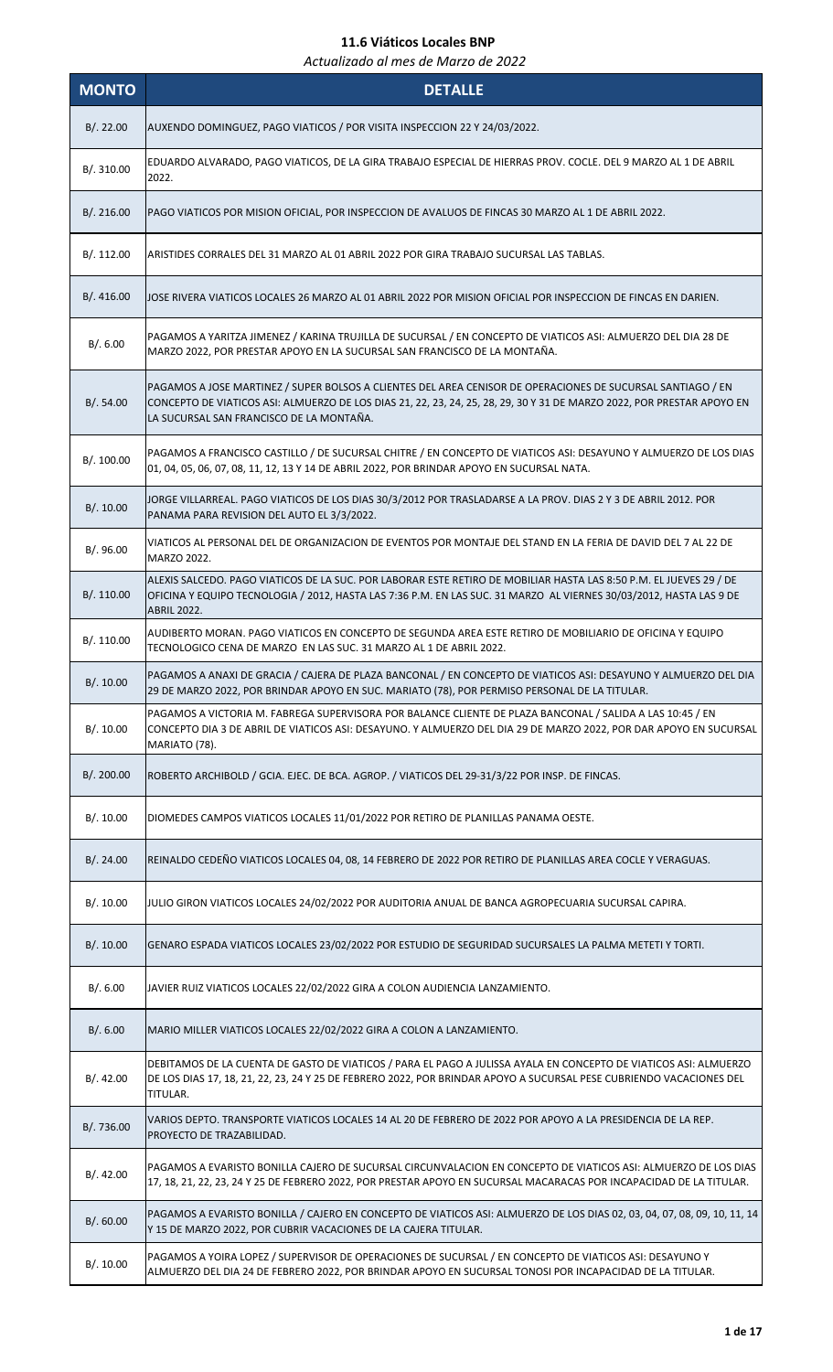| <b>MONTO</b> | <b>DETALLE</b>                                                                                                                                                                                                                                                                    |
|--------------|-----------------------------------------------------------------------------------------------------------------------------------------------------------------------------------------------------------------------------------------------------------------------------------|
| B/.22.00     | AUXENDO DOMINGUEZ, PAGO VIATICOS / POR VISITA INSPECCION 22 Y 24/03/2022.                                                                                                                                                                                                         |
| B/. 310.00   | EDUARDO ALVARADO, PAGO VIATICOS, DE LA GIRA TRABAJO ESPECIAL DE HIERRAS PROV. COCLE. DEL 9 MARZO AL 1 DE ABRIL<br>2022.                                                                                                                                                           |
| B/.216.00    | PAGO VIATICOS POR MISION OFICIAL, POR INSPECCION DE AVALUOS DE FINCAS 30 MARZO AL 1 DE ABRIL 2022.                                                                                                                                                                                |
| B/.112.00    | ARISTIDES CORRALES DEL 31 MARZO AL 01 ABRIL 2022 POR GIRA TRABAJO SUCURSAL LAS TABLAS.                                                                                                                                                                                            |
| B/.416.00    | JOSE RIVERA VIATICOS LOCALES 26 MARZO AL 01 ABRIL 2022 POR MISION OFICIAL POR INSPECCION DE FINCAS EN DARIEN.                                                                                                                                                                     |
| B/.6.00      | PAGAMOS A YARITZA JIMENEZ / KARINA TRUJILLA DE SUCURSAL / EN CONCEPTO DE VIATICOS ASI: ALMUERZO DEL DIA 28 DE<br>MARZO 2022, POR PRESTAR APOYO EN LA SUCURSAL SAN FRANCISCO DE LA MONTAÑA.                                                                                        |
| B/.54.00     | PAGAMOS A JOSE MARTINEZ / SUPER BOLSOS A CLIENTES DEL AREA CENISOR DE OPERACIONES DE SUCURSAL SANTIAGO / EN<br>CONCEPTO DE VIATICOS ASI: ALMUERZO DE LOS DIAS 21, 22, 23, 24, 25, 28, 29, 30 Y 31 DE MARZO 2022, POR PRESTAR APOYO EN<br>LA SUCURSAL SAN FRANCISCO DE LA MONTAÑA. |
| B/. 100.00   | PAGAMOS A FRANCISCO CASTILLO / DE SUCURSAL CHITRE / EN CONCEPTO DE VIATICOS ASI: DESAYUNO Y ALMUERZO DE LOS DIAS<br>01, 04, 05, 06, 07, 08, 11, 12, 13 Y 14 DE ABRIL 2022, POR BRINDAR APOYO EN SUCURSAL NATA.                                                                    |
| B/.10.00     | JORGE VILLARREAL. PAGO VIATICOS DE LOS DIAS 30/3/2012 POR TRASLADARSE A LA PROV. DIAS 2 Y 3 DE ABRIL 2012. POR<br>PANAMA PARA REVISION DEL AUTO EL 3/3/2022.                                                                                                                      |
| B/.96.00     | VIATICOS AL PERSONAL DEL DE ORGANIZACION DE EVENTOS POR MONTAJE DEL STAND EN LA FERIA DE DAVID DEL 7 AL 22 DE<br>MARZO 2022.                                                                                                                                                      |
| B/. 110.00   | ALEXIS SALCEDO. PAGO VIATICOS DE LA SUC. POR LABORAR ESTE RETIRO DE MOBILIAR HASTA LAS 8:50 P.M. EL JUEVES 29 / DE  <br>OFICINA Y EQUIPO TECNOLOGIA / 2012, HASTA LAS 7:36 P.M. EN LAS SUC. 31 MARZO AL VIERNES 30/03/2012, HASTA LAS 9 DE<br><b>ABRIL 2022.</b>                  |
| B/. 110.00   | AUDIBERTO MORAN. PAGO VIATICOS EN CONCEPTO DE SEGUNDA AREA ESTE RETIRO DE MOBILIARIO DE OFICINA Y EQUIPO<br>TECNOLOGICO CENA DE MARZO EN LAS SUC. 31 MARZO AL 1 DE ABRIL 2022.                                                                                                    |
| B/.10.00     | PAGAMOS A ANAXI DE GRACIA / CAJERA DE PLAZA BANCONAL / EN CONCEPTO DE VIATICOS ASI: DESAYUNO Y ALMUERZO DEL DIA<br>29 DE MARZO 2022, POR BRINDAR APOYO EN SUC. MARIATO (78), POR PERMISO PERSONAL DE LA TITULAR.                                                                  |
| B/.10.00     | PAGAMOS A VICTORIA M. FABREGA SUPERVISORA POR BALANCE CLIENTE DE PLAZA BANCONAL / SALIDA A LAS 10:45 / EN<br>CONCEPTO DIA 3 DE ABRIL DE VIATICOS ASI: DESAYUNO. Y ALMUERZO DEL DIA 29 DE MARZO 2022, POR DAR APOYO EN SUCURSAL<br>MARIATO (78).                                   |
| B/. 200.00   | ROBERTO ARCHIBOLD / GCIA. EJEC. DE BCA. AGROP. / VIATICOS DEL 29-31/3/22 POR INSP. DE FINCAS.                                                                                                                                                                                     |
| B/.10.00     | DIOMEDES CAMPOS VIATICOS LOCALES 11/01/2022 POR RETIRO DE PLANILLAS PANAMA OESTE.                                                                                                                                                                                                 |
| B/.24.00     | REINALDO CEDEÑO VIATICOS LOCALES 04, 08, 14 FEBRERO DE 2022 POR RETIRO DE PLANILLAS AREA COCLE Y VERAGUAS.                                                                                                                                                                        |
| B/.10.00     | JULIO GIRON VIATICOS LOCALES 24/02/2022 POR AUDITORIA ANUAL DE BANCA AGROPECUARIA SUCURSAL CAPIRA.                                                                                                                                                                                |
| B/.10.00     | GENARO ESPADA VIATICOS LOCALES 23/02/2022 POR ESTUDIO DE SEGURIDAD SUCURSALES LA PALMA METETI Y TORTI.                                                                                                                                                                            |
| B/.6.00      | JAVIER RUIZ VIATICOS LOCALES 22/02/2022 GIRA A COLON AUDIENCIA LANZAMIENTO.                                                                                                                                                                                                       |
| B/.6.00      | MARIO MILLER VIATICOS LOCALES 22/02/2022 GIRA A COLON A LANZAMIENTO.                                                                                                                                                                                                              |
| B/.42.00     | DEBITAMOS DE LA CUENTA DE GASTO DE VIATICOS / PARA EL PAGO A JULISSA AYALA EN CONCEPTO DE VIATICOS ASI: ALMUERZO<br>DE LOS DIAS 17, 18, 21, 22, 23, 24 Y 25 DE FEBRERO 2022, POR BRINDAR APOYO A SUCURSAL PESE CUBRIENDO VACACIONES DEL<br>TITULAR.                               |
| B/.736.00    | VARIOS DEPTO. TRANSPORTE VIATICOS LOCALES 14 AL 20 DE FEBRERO DE 2022 POR APOYO A LA PRESIDENCIA DE LA REP.<br>PROYECTO DE TRAZABILIDAD.                                                                                                                                          |
| B/.42.00     | PAGAMOS A EVARISTO BONILLA CAJERO DE SUCURSAL CIRCUNVALACION EN CONCEPTO DE VIATICOS ASI: ALMUERZO DE LOS DIAS<br>17, 18, 21, 22, 23, 24 Y 25 DE FEBRERO 2022, POR PRESTAR APOYO EN SUCURSAL MACARACAS POR INCAPACIDAD DE LA TITULAR.                                             |
| B/. 60.00    | PAGAMOS A EVARISTO BONILLA / CAJERO EN CONCEPTO DE VIATICOS ASI: ALMUERZO DE LOS DIAS 02, 03, 04, 07, 08, 09, 10, 11, 14<br>Y 15 DE MARZO 2022, POR CUBRIR VACACIONES DE LA CAJERA TITULAR.                                                                                       |
| B/.10.00     | PAGAMOS A YOIRA LOPEZ / SUPERVISOR DE OPERACIONES DE SUCURSAL / EN CONCEPTO DE VIATICOS ASI: DESAYUNO Y<br>ALMUERZO DEL DIA 24 DE FEBRERO 2022, POR BRINDAR APOYO EN SUCURSAL TONOSI POR INCAPACIDAD DE LA TITULAR.                                                               |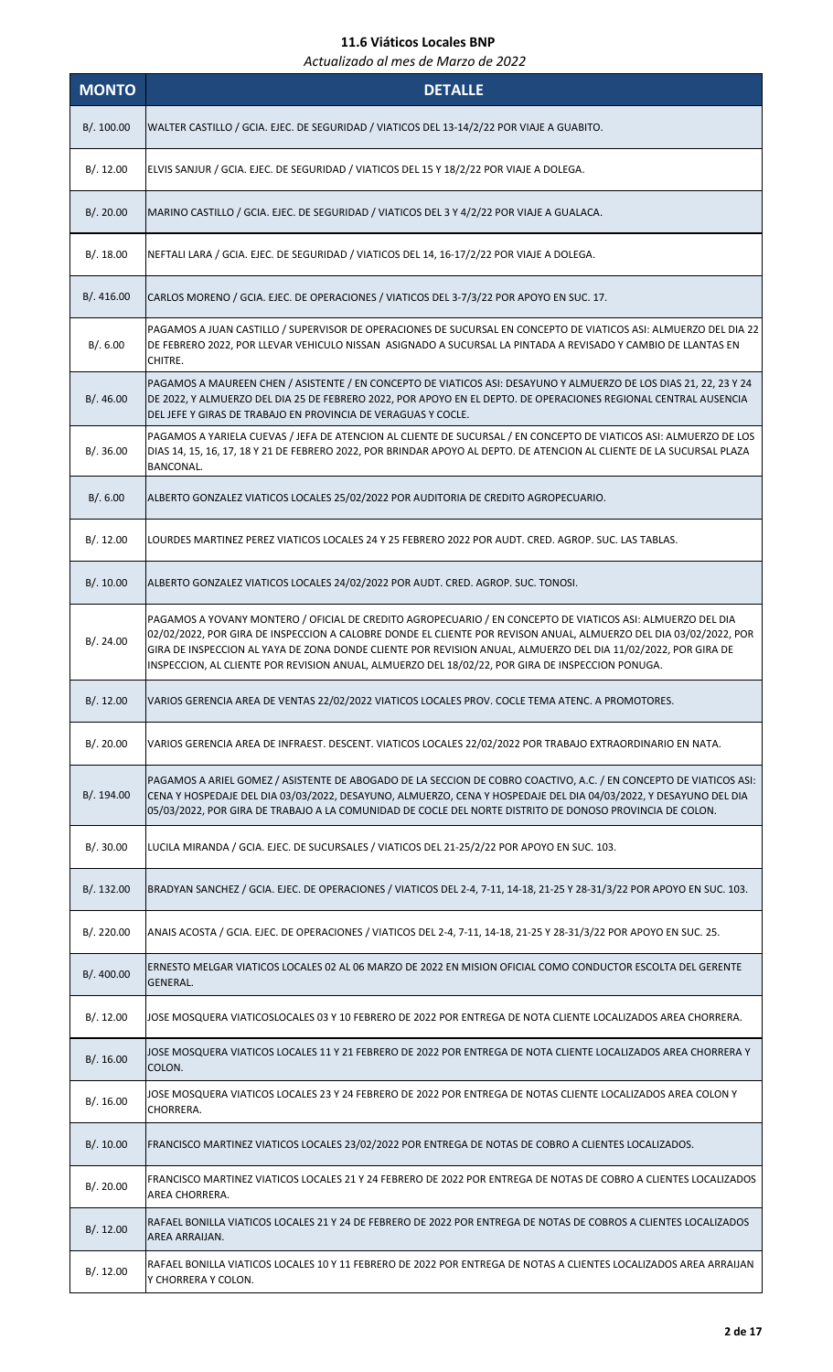| <b>MONTO</b> | <b>DETALLE</b>                                                                                                                                                                                                                                                                                                                                                                                                                                       |
|--------------|------------------------------------------------------------------------------------------------------------------------------------------------------------------------------------------------------------------------------------------------------------------------------------------------------------------------------------------------------------------------------------------------------------------------------------------------------|
| B/.100.00    | WALTER CASTILLO / GCIA. EJEC. DE SEGURIDAD / VIATICOS DEL 13-14/2/22 POR VIAJE A GUABITO.                                                                                                                                                                                                                                                                                                                                                            |
| B/. 12.00    | ELVIS SANJUR / GCIA. EJEC. DE SEGURIDAD / VIATICOS DEL 15 Y 18/2/22 POR VIAJE A DOLEGA.                                                                                                                                                                                                                                                                                                                                                              |
| B/.20.00     | MARINO CASTILLO / GCIA. EJEC. DE SEGURIDAD / VIATICOS DEL 3 Y 4/2/22 POR VIAJE A GUALACA.                                                                                                                                                                                                                                                                                                                                                            |
| B/.18.00     | NEFTALI LARA / GCIA. EJEC. DE SEGURIDAD / VIATICOS DEL 14, 16-17/2/22 POR VIAJE A DOLEGA.                                                                                                                                                                                                                                                                                                                                                            |
| B/. 416.00   | CARLOS MORENO / GCIA. EJEC. DE OPERACIONES / VIATICOS DEL 3-7/3/22 POR APOYO EN SUC. 17.                                                                                                                                                                                                                                                                                                                                                             |
| B/.6.00      | PAGAMOS A JUAN CASTILLO / SUPERVISOR DE OPERACIONES DE SUCURSAL EN CONCEPTO DE VIATICOS ASI: ALMUERZO DEL DIA 22<br>DE FEBRERO 2022, POR LLEVAR VEHICULO NISSAN ASIGNADO A SUCURSAL LA PINTADA A REVISADO Y CAMBIO DE LLANTAS EN<br>CHITRE.                                                                                                                                                                                                          |
| B/.46.00     | PAGAMOS A MAUREEN CHEN / ASISTENTE / EN CONCEPTO DE VIATICOS ASI: DESAYUNO Y ALMUERZO DE LOS DIAS 21, 22, 23 Y 24<br>DE 2022, Y ALMUERZO DEL DIA 25 DE FEBRERO 2022, POR APOYO EN EL DEPTO. DE OPERACIONES REGIONAL CENTRAL AUSENCIA<br>DEL JEFE Y GIRAS DE TRABAJO EN PROVINCIA DE VERAGUAS Y COCLE.                                                                                                                                                |
| B/.36.00     | PAGAMOS A YARIELA CUEVAS / JEFA DE ATENCION AL CLIENTE DE SUCURSAL / EN CONCEPTO DE VIATICOS ASI: ALMUERZO DE LOS<br>DIAS 14, 15, 16, 17, 18 Y 21 DE FEBRERO 2022, POR BRINDAR APOYO AL DEPTO. DE ATENCION AL CLIENTE DE LA SUCURSAL PLAZA<br>BANCONAL.                                                                                                                                                                                              |
| B/.6.00      | ALBERTO GONZALEZ VIATICOS LOCALES 25/02/2022 POR AUDITORIA DE CREDITO AGROPECUARIO.                                                                                                                                                                                                                                                                                                                                                                  |
| B/.12.00     | LOURDES MARTINEZ PEREZ VIATICOS LOCALES 24 Y 25 FEBRERO 2022 POR AUDT. CRED. AGROP. SUC. LAS TABLAS.                                                                                                                                                                                                                                                                                                                                                 |
| B/.10.00     | ALBERTO GONZALEZ VIATICOS LOCALES 24/02/2022 POR AUDT. CRED. AGROP. SUC. TONOSI.                                                                                                                                                                                                                                                                                                                                                                     |
| B/.24.00     | PAGAMOS A YOVANY MONTERO / OFICIAL DE CREDITO AGROPECUARIO / EN CONCEPTO DE VIATICOS ASI: ALMUERZO DEL DIA<br>02/02/2022, POR GIRA DE INSPECCION A CALOBRE DONDE EL CLIENTE POR REVISON ANUAL, ALMUERZO DEL DIA 03/02/2022, POR<br>GIRA DE INSPECCION AL YAYA DE ZONA DONDE CLIENTE POR REVISION ANUAL, ALMUERZO DEL DIA 11/02/2022, POR GIRA DE<br>INSPECCION, AL CLIENTE POR REVISION ANUAL, ALMUERZO DEL 18/02/22, POR GIRA DE INSPECCION PONUGA. |
| B/. 12.00    | VARIOS GERENCIA AREA DE VENTAS 22/02/2022 VIATICOS LOCALES PROV. COCLE TEMA ATENC. A PROMOTORES.                                                                                                                                                                                                                                                                                                                                                     |
| B/.20.00     | VARIOS GERENCIA AREA DE INFRAEST. DESCENT. VIATICOS LOCALES 22/02/2022 POR TRABAJO EXTRAORDINARIO EN NATA.                                                                                                                                                                                                                                                                                                                                           |
| B/. 194.00   | PAGAMOS A ARIEL GOMEZ / ASISTENTE DE ABOGADO DE LA SECCION DE COBRO COACTIVO, A.C. / EN CONCEPTO DE VIATICOS ASI:<br>CENA Y HOSPEDAJE DEL DIA 03/03/2022, DESAYUNO, ALMUERZO, CENA Y HOSPEDAJE DEL DIA 04/03/2022, Y DESAYUNO DEL DIA<br>05/03/2022, POR GIRA DE TRABAJO A LA COMUNIDAD DE COCLE DEL NORTE DISTRITO DE DONOSO PROVINCIA DE COLON.                                                                                                    |
| B/.30.00     | LUCILA MIRANDA / GCIA. EJEC. DE SUCURSALES / VIATICOS DEL 21-25/2/22 POR APOYO EN SUC. 103.                                                                                                                                                                                                                                                                                                                                                          |
| B/.132.00    | BRADYAN SANCHEZ / GCIA. EJEC. DE OPERACIONES / VIATICOS DEL 2-4, 7-11, 14-18, 21-25 Y 28-31/3/22 POR APOYO EN SUC. 103.                                                                                                                                                                                                                                                                                                                              |
| B/.220.00    | ANAIS ACOSTA / GCIA. EJEC. DE OPERACIONES / VIATICOS DEL 2-4, 7-11, 14-18, 21-25 Y 28-31/3/22 POR APOYO EN SUC. 25.                                                                                                                                                                                                                                                                                                                                  |
| B/. 400.00   | ERNESTO MELGAR VIATICOS LOCALES 02 AL 06 MARZO DE 2022 EN MISION OFICIAL COMO CONDUCTOR ESCOLTA DEL GERENTE<br>GENERAL.                                                                                                                                                                                                                                                                                                                              |
| B/.12.00     | JOSE MOSQUERA VIATICOSLOCALES 03 Y 10 FEBRERO DE 2022 POR ENTREGA DE NOTA CLIENTE LOCALIZADOS AREA CHORRERA.                                                                                                                                                                                                                                                                                                                                         |
| B/.16.00     | JOSE MOSQUERA VIATICOS LOCALES 11 Y 21 FEBRERO DE 2022 POR ENTREGA DE NOTA CLIENTE LOCALIZADOS AREA CHORRERA Y<br>COLON.                                                                                                                                                                                                                                                                                                                             |
| B/.16.00     | JOSE MOSQUERA VIATICOS LOCALES 23 Y 24 FEBRERO DE 2022 POR ENTREGA DE NOTAS CLIENTE LOCALIZADOS AREA COLON Y<br>CHORRERA.                                                                                                                                                                                                                                                                                                                            |
| B/.10.00     | FRANCISCO MARTINEZ VIATICOS LOCALES 23/02/2022 POR ENTREGA DE NOTAS DE COBRO A CLIENTES LOCALIZADOS.                                                                                                                                                                                                                                                                                                                                                 |
| B/.20.00     | FRANCISCO MARTINEZ VIATICOS LOCALES 21 Y 24 FEBRERO DE 2022 POR ENTREGA DE NOTAS DE COBRO A CLIENTES LOCALIZADOS<br>AREA CHORRERA.                                                                                                                                                                                                                                                                                                                   |
| B/. 12.00    | RAFAEL BONILLA VIATICOS LOCALES 21 Y 24 DE FEBRERO DE 2022 POR ENTREGA DE NOTAS DE COBROS A CLIENTES LOCALIZADOS<br>AREA ARRAIJAN.                                                                                                                                                                                                                                                                                                                   |
| B/. 12.00    | RAFAEL BONILLA VIATICOS LOCALES 10 Y 11 FEBRERO DE 2022 POR ENTREGA DE NOTAS A CLIENTES LOCALIZADOS AREA ARRAIJAN<br>Y CHORRERA Y COLON.                                                                                                                                                                                                                                                                                                             |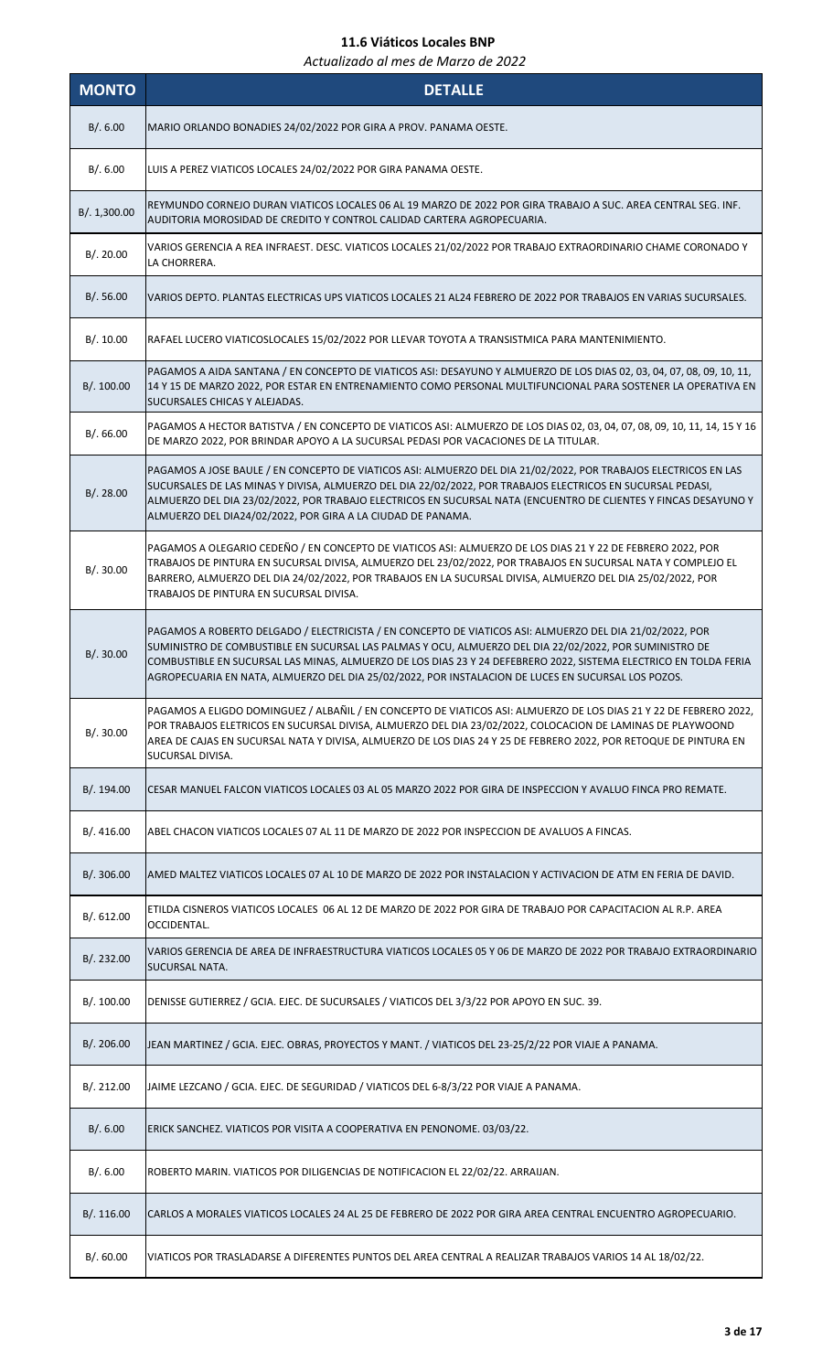| <b>MONTO</b> | <b>DETALLE</b>                                                                                                                                                                                                                                                                                                                                                                                                                               |
|--------------|----------------------------------------------------------------------------------------------------------------------------------------------------------------------------------------------------------------------------------------------------------------------------------------------------------------------------------------------------------------------------------------------------------------------------------------------|
| B/.6.00      | MARIO ORLANDO BONADIES 24/02/2022 POR GIRA A PROV. PANAMA OESTE.                                                                                                                                                                                                                                                                                                                                                                             |
| B/.6.00      | LUIS A PEREZ VIATICOS LOCALES 24/02/2022 POR GIRA PANAMA OESTE.                                                                                                                                                                                                                                                                                                                                                                              |
| B/. 1,300.00 | REYMUNDO CORNEJO DURAN VIATICOS LOCALES 06 AL 19 MARZO DE 2022 POR GIRA TRABAJO A SUC. AREA CENTRAL SEG. INF.<br>AUDITORIA MOROSIDAD DE CREDITO Y CONTROL CALIDAD CARTERA AGROPECUARIA.                                                                                                                                                                                                                                                      |
| B/.20.00     | VARIOS GERENCIA A REA INFRAEST. DESC. VIATICOS LOCALES 21/02/2022 POR TRABAJO EXTRAORDINARIO CHAME CORONADO Y<br>LA CHORRERA.                                                                                                                                                                                                                                                                                                                |
| B/.56.00     | VARIOS DEPTO. PLANTAS ELECTRICAS UPS VIATICOS LOCALES 21 AL24 FEBRERO DE 2022 POR TRABAJOS EN VARIAS SUCURSALES.                                                                                                                                                                                                                                                                                                                             |
| B/.10.00     | RAFAEL LUCERO VIATICOSLOCALES 15/02/2022 POR LLEVAR TOYOTA A TRANSISTMICA PARA MANTENIMIENTO.                                                                                                                                                                                                                                                                                                                                                |
| B/. 100.00   | PAGAMOS A AIDA SANTANA / EN CONCEPTO DE VIATICOS ASI: DESAYUNO Y ALMUERZO DE LOS DIAS 02, 03, 04, 07, 08, 09, 10, 11,<br>14 Y 15 DE MARZO 2022, POR ESTAR EN ENTRENAMIENTO COMO PERSONAL MULTIFUNCIONAL PARA SOSTENER LA OPERATIVA EN<br>SUCURSALES CHICAS Y ALEJADAS.                                                                                                                                                                       |
| B/0.66.00    | PAGAMOS A HECTOR BATISTVA / EN CONCEPTO DE VIATICOS ASI: ALMUERZO DE LOS DIAS 02, 03, 04, 07, 08, 09, 10, 11, 14, 15 Y 16<br>DE MARZO 2022, POR BRINDAR APOYO A LA SUCURSAL PEDASI POR VACACIONES DE LA TITULAR.                                                                                                                                                                                                                             |
| B/.28.00     | PAGAMOS A JOSE BAULE / EN CONCEPTO DE VIATICOS ASI: ALMUERZO DEL DIA 21/02/2022, POR TRABAJOS ELECTRICOS EN LAS<br>SUCURSALES DE LAS MINAS Y DIVISA, ALMUERZO DEL DIA 22/02/2022, POR TRABAJOS ELECTRICOS EN SUCURSAL PEDASI,<br>ALMUERZO DEL DIA 23/02/2022, POR TRABAJO ELECTRICOS EN SUCURSAL NATA (ENCUENTRO DE CLIENTES Y FINCAS DESAYUNO Y<br>ALMUERZO DEL DIA24/02/2022, POR GIRA A LA CIUDAD DE PANAMA.                              |
| B/.30.00     | PAGAMOS A OLEGARIO CEDEÑO / EN CONCEPTO DE VIATICOS ASI: ALMUERZO DE LOS DIAS 21 Y 22 DE FEBRERO 2022, POR<br>TRABAJOS DE PINTURA EN SUCURSAL DIVISA, ALMUERZO DEL 23/02/2022, POR TRABAJOS EN SUCURSAL NATA Y COMPLEJO EL<br>BARRERO, ALMUERZO DEL DIA 24/02/2022, POR TRABAJOS EN LA SUCURSAL DIVISA, ALMUERZO DEL DIA 25/02/2022, POR<br>TRABAJOS DE PINTURA EN SUCURSAL DIVISA.                                                          |
| B/. 30.00    | PAGAMOS A ROBERTO DELGADO / ELECTRICISTA / EN CONCEPTO DE VIATICOS ASI: ALMUERZO DEL DIA 21/02/2022, POR<br>SUMINISTRO DE COMBUSTIBLE EN SUCURSAL LAS PALMAS Y OCU, ALMUERZO DEL DIA 22/02/2022, POR SUMINISTRO DE<br>COMBUSTIBLE EN SUCURSAL LAS MINAS, ALMUERZO DE LOS DIAS 23 Y 24 DEFEBRERO 2022, SISTEMA ELECTRICO EN TOLDA FERIA<br>AGROPECUARIA EN NATA, ALMUERZO DEL DIA 25/02/2022, POR INSTALACION DE LUCES EN SUCURSAL LOS POZOS. |
| B/.30.00     | PAGAMOS A ELIGDO DOMINGUEZ / ALBAÑIL / EN CONCEPTO DE VIATICOS ASI: ALMUERZO DE LOS DIAS 21 Y 22 DE FEBRERO 2022,<br>POR TRABAJOS ELETRICOS EN SUCURSAL DIVISA, ALMUERZO DEL DIA 23/02/2022, COLOCACION DE LAMINAS DE PLAYWOOND<br>AREA DE CAJAS EN SUCURSAL NATA Y DIVISA, ALMUERZO DE LOS DIAS 24 Y 25 DE FEBRERO 2022, POR RETOQUE DE PINTURA EN<br>SUCURSAL DIVISA.                                                                      |
| B/.194.00    | CESAR MANUEL FALCON VIATICOS LOCALES 03 AL 05 MARZO 2022 POR GIRA DE INSPECCION Y AVALUO FINCA PRO REMATE.                                                                                                                                                                                                                                                                                                                                   |
| B/.416.00    | ABEL CHACON VIATICOS LOCALES 07 AL 11 DE MARZO DE 2022 POR INSPECCION DE AVALUOS A FINCAS.                                                                                                                                                                                                                                                                                                                                                   |
| B/.306.00    | AMED MALTEZ VIATICOS LOCALES 07 AL 10 DE MARZO DE 2022 POR INSTALACION Y ACTIVACION DE ATM EN FERIA DE DAVID.                                                                                                                                                                                                                                                                                                                                |
| B/. 612.00   | ETILDA CISNEROS VIATICOS LOCALES 06 AL 12 DE MARZO DE 2022 POR GIRA DE TRABAJO POR CAPACITACION AL R.P. AREA<br>OCCIDENTAL.                                                                                                                                                                                                                                                                                                                  |
| B/.232.00    | VARIOS GERENCIA DE AREA DE INFRAESTRUCTURA VIATICOS LOCALES 05 Y 06 DE MARZO DE 2022 POR TRABAJO EXTRAORDINARIO<br>SUCURSAL NATA.                                                                                                                                                                                                                                                                                                            |
| B/. 100.00   | DENISSE GUTIERREZ / GCIA. EJEC. DE SUCURSALES / VIATICOS DEL 3/3/22 POR APOYO EN SUC. 39.                                                                                                                                                                                                                                                                                                                                                    |
| B/.206.00    | JEAN MARTINEZ / GCIA. EJEC. OBRAS, PROYECTOS Y MANT. / VIATICOS DEL 23-25/2/22 POR VIAJE A PANAMA.                                                                                                                                                                                                                                                                                                                                           |
| B/.212.00    | JAIME LEZCANO / GCIA. EJEC. DE SEGURIDAD / VIATICOS DEL 6-8/3/22 POR VIAJE A PANAMA.                                                                                                                                                                                                                                                                                                                                                         |
| B/.6.00      | ERICK SANCHEZ. VIATICOS POR VISITA A COOPERATIVA EN PENONOME. 03/03/22.                                                                                                                                                                                                                                                                                                                                                                      |
| B/. 6.00     | ROBERTO MARIN. VIATICOS POR DILIGENCIAS DE NOTIFICACION EL 22/02/22. ARRAIJAN.                                                                                                                                                                                                                                                                                                                                                               |
| B/.116.00    | CARLOS A MORALES VIATICOS LOCALES 24 AL 25 DE FEBRERO DE 2022 POR GIRA AREA CENTRAL ENCUENTRO AGROPECUARIO.                                                                                                                                                                                                                                                                                                                                  |
| B/.60.00     | VIATICOS POR TRASLADARSE A DIFERENTES PUNTOS DEL AREA CENTRAL A REALIZAR TRABAJOS VARIOS 14 AL 18/02/22.                                                                                                                                                                                                                                                                                                                                     |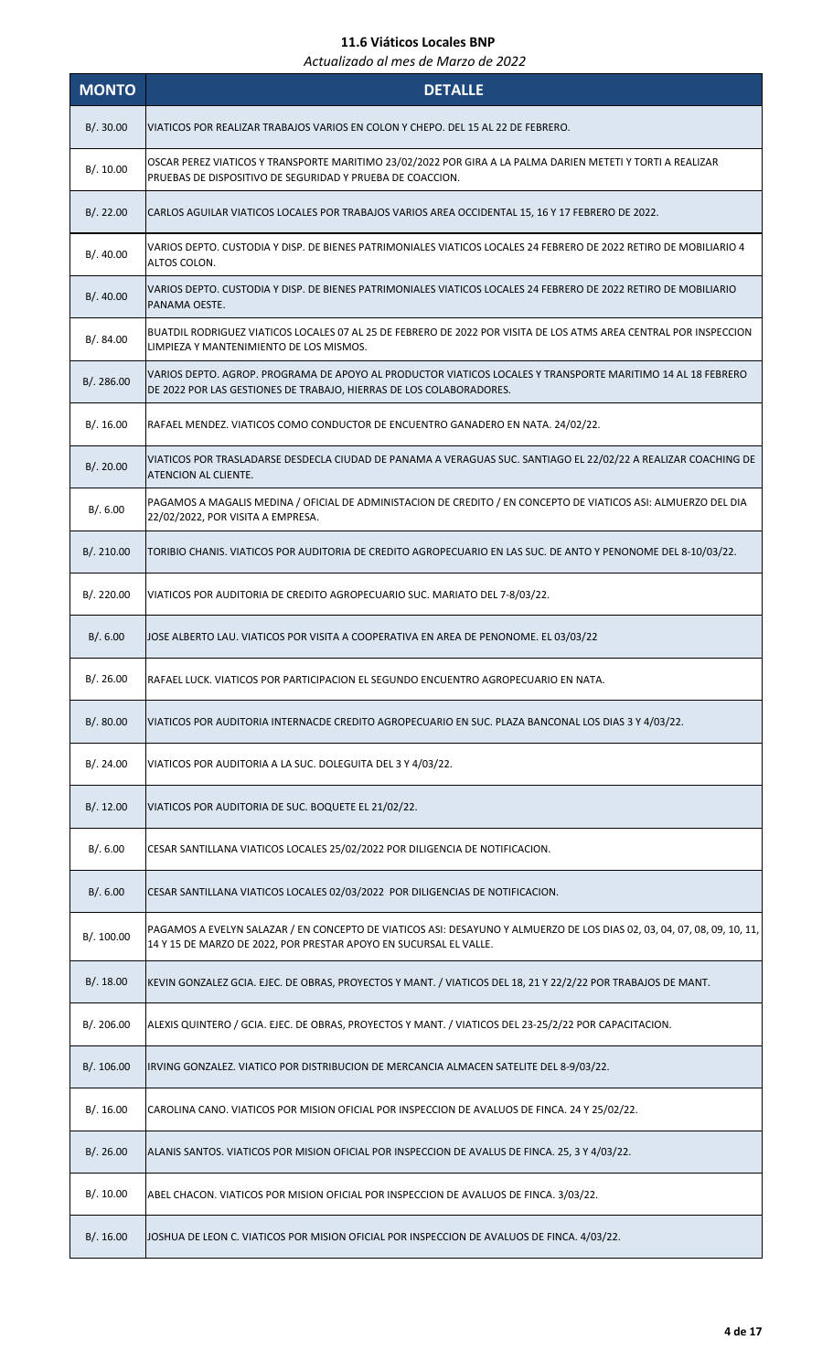| <b>MONTO</b> | <b>DETALLE</b>                                                                                                                                                                               |
|--------------|----------------------------------------------------------------------------------------------------------------------------------------------------------------------------------------------|
| B/.30.00     | VIATICOS POR REALIZAR TRABAJOS VARIOS EN COLON Y CHEPO. DEL 15 AL 22 DE FEBRERO.                                                                                                             |
| B/.10.00     | OSCAR PEREZ VIATICOS Y TRANSPORTE MARITIMO 23/02/2022 POR GIRA A LA PALMA DARIEN METETI Y TORTI A REALIZAR<br>PRUEBAS DE DISPOSITIVO DE SEGURIDAD Y PRUEBA DE COACCION.                      |
| B/.22.00     | CARLOS AGUILAR VIATICOS LOCALES POR TRABAJOS VARIOS AREA OCCIDENTAL 15, 16 Y 17 FEBRERO DE 2022.                                                                                             |
| B/.40.00     | VARIOS DEPTO. CUSTODIA Y DISP. DE BIENES PATRIMONIALES VIATICOS LOCALES 24 FEBRERO DE 2022 RETIRO DE MOBILIARIO 4<br>ALTOS COLON.                                                            |
| B/.40.00     | VARIOS DEPTO. CUSTODIA Y DISP. DE BIENES PATRIMONIALES VIATICOS LOCALES 24 FEBRERO DE 2022 RETIRO DE MOBILIARIO<br>PANAMA OESTE.                                                             |
| B/. 84.00    | BUATDIL RODRIGUEZ VIATICOS LOCALES 07 AL 25 DE FEBRERO DE 2022 POR VISITA DE LOS ATMS AREA CENTRAL POR INSPECCION<br>LIMPIEZA Y MANTENIMIENTO DE LOS MISMOS.                                 |
| B/. 286.00   | VARIOS DEPTO. AGROP. PROGRAMA DE APOYO AL PRODUCTOR VIATICOS LOCALES Y TRANSPORTE MARITIMO 14 AL 18 FEBRERO<br>DE 2022 POR LAS GESTIONES DE TRABAJO, HIERRAS DE LOS COLABORADORES.           |
| B/.16.00     | RAFAEL MENDEZ. VIATICOS COMO CONDUCTOR DE ENCUENTRO GANADERO EN NATA. 24/02/22.                                                                                                              |
| B/.20.00     | VIATICOS POR TRASLADARSE DESDECLA CIUDAD DE PANAMA A VERAGUAS SUC. SANTIAGO EL 22/02/22 A REALIZAR COACHING DE<br>ATENCION AL CLIENTE.                                                       |
| B/.6.00      | PAGAMOS A MAGALIS MEDINA / OFICIAL DE ADMINISTACION DE CREDITO / EN CONCEPTO DE VIATICOS ASI: ALMUERZO DEL DIA<br>22/02/2022, POR VISITA A EMPRESA.                                          |
| B/. 210.00   | TORIBIO CHANIS. VIATICOS POR AUDITORIA DE CREDITO AGROPECUARIO EN LAS SUC. DE ANTO Y PENONOME DEL 8-10/03/22.                                                                                |
| B/. 220.00   | VIATICOS POR AUDITORIA DE CREDITO AGROPECUARIO SUC. MARIATO DEL 7-8/03/22.                                                                                                                   |
| B/0.6.00     | JOSE ALBERTO LAU. VIATICOS POR VISITA A COOPERATIVA EN AREA DE PENONOME. EL 03/03/22                                                                                                         |
| B/.26.00     | RAFAEL LUCK. VIATICOS POR PARTICIPACION EL SEGUNDO ENCUENTRO AGROPECUARIO EN NATA.                                                                                                           |
| B/.80.00     | VIATICOS POR AUDITORIA INTERNACDE CREDITO AGROPECUARIO EN SUC. PLAZA BANCONAL LOS DIAS 3 Y 4/03/22.                                                                                          |
| B/.24.00     | VIATICOS POR AUDITORIA A LA SUC. DOLEGUITA DEL 3 Y 4/03/22.                                                                                                                                  |
| B/.12.00     | VIATICOS POR AUDITORIA DE SUC. BOQUETE EL 21/02/22.                                                                                                                                          |
| B/.6.00      | CESAR SANTILLANA VIATICOS LOCALES 25/02/2022 POR DILIGENCIA DE NOTIFICACION.                                                                                                                 |
| B/.6.00      | CESAR SANTILLANA VIATICOS LOCALES 02/03/2022 POR DILIGENCIAS DE NOTIFICACION.                                                                                                                |
| B/. 100.00   | PAGAMOS A EVELYN SALAZAR / EN CONCEPTO DE VIATICOS ASI: DESAYUNO Y ALMUERZO DE LOS DIAS 02, 03, 04, 07, 08, 09, 10, 11,<br>14 Y 15 DE MARZO DE 2022, POR PRESTAR APOYO EN SUCURSAL EL VALLE. |
| B/.18.00     | KEVIN GONZALEZ GCIA. EJEC. DE OBRAS, PROYECTOS Y MANT. / VIATICOS DEL 18, 21 Y 22/2/22 POR TRABAJOS DE MANT.                                                                                 |
| B/. 206.00   | ALEXIS QUINTERO / GCIA. EJEC. DE OBRAS, PROYECTOS Y MANT. / VIATICOS DEL 23-25/2/22 POR CAPACITACION.                                                                                        |
| B/.106.00    | IRVING GONZALEZ. VIATICO POR DISTRIBUCION DE MERCANCIA ALMACEN SATELITE DEL 8-9/03/22.                                                                                                       |
| B/.16.00     | CAROLINA CANO. VIATICOS POR MISION OFICIAL POR INSPECCION DE AVALUOS DE FINCA. 24 Y 25/02/22.                                                                                                |
| B/.26.00     | ALANIS SANTOS. VIATICOS POR MISION OFICIAL POR INSPECCION DE AVALUS DE FINCA. 25, 3 Y 4/03/22.                                                                                               |
| B/.10.00     | ABEL CHACON. VIATICOS POR MISION OFICIAL POR INSPECCION DE AVALUOS DE FINCA. 3/03/22.                                                                                                        |
| B/.16.00     | JOSHUA DE LEON C. VIATICOS POR MISION OFICIAL POR INSPECCION DE AVALUOS DE FINCA. 4/03/22.                                                                                                   |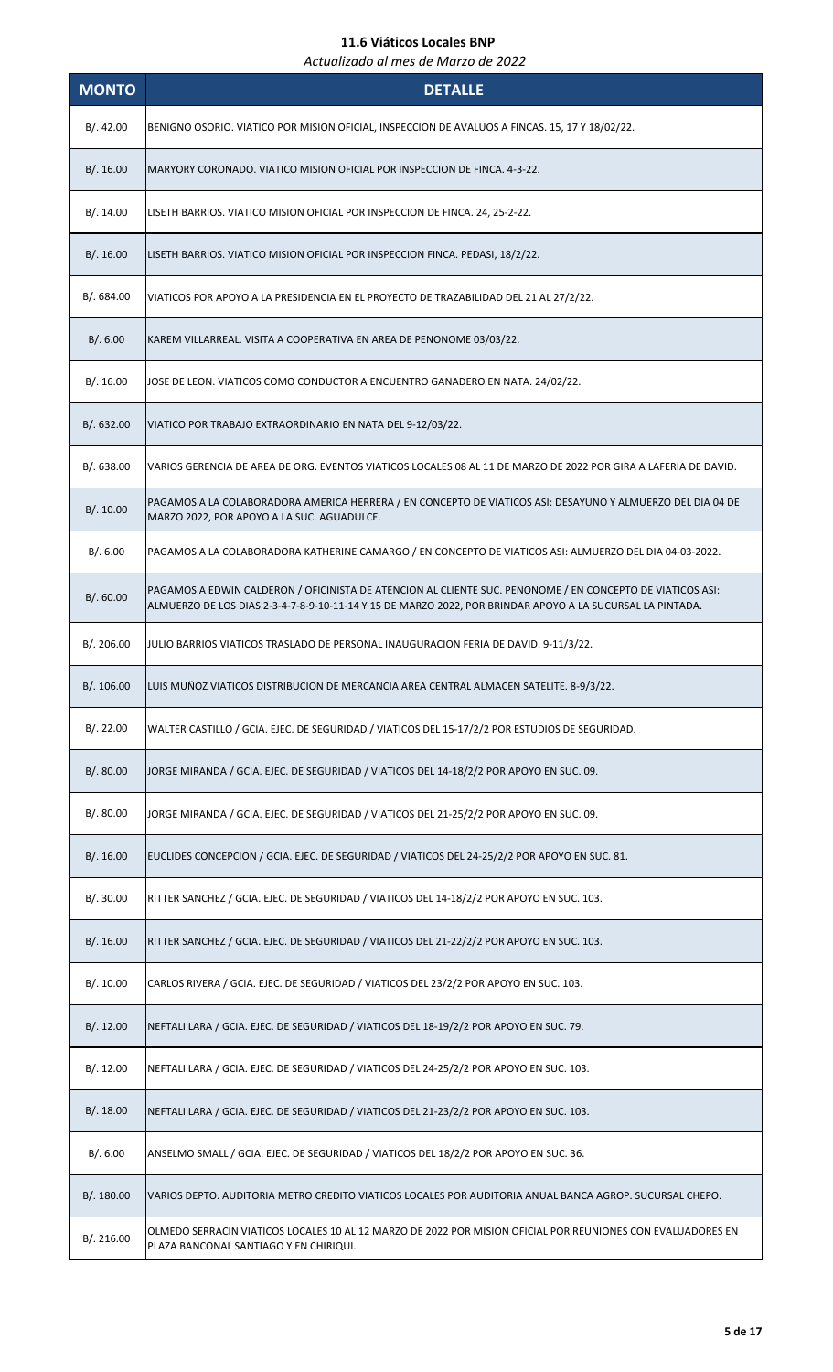| <b>MONTO</b> | <b>DETALLE</b>                                                                                                                                                                                                         |
|--------------|------------------------------------------------------------------------------------------------------------------------------------------------------------------------------------------------------------------------|
| B/.42.00     | BENIGNO OSORIO. VIATICO POR MISION OFICIAL, INSPECCION DE AVALUOS A FINCAS. 15, 17 Y 18/02/22.                                                                                                                         |
| B/.16.00     | MARYORY CORONADO. VIATICO MISION OFICIAL POR INSPECCION DE FINCA. 4-3-22.                                                                                                                                              |
| B/.14.00     | LISETH BARRIOS. VIATICO MISION OFICIAL POR INSPECCION DE FINCA. 24, 25-2-22.                                                                                                                                           |
| B/.16.00     | LISETH BARRIOS. VIATICO MISION OFICIAL POR INSPECCION FINCA. PEDASI, 18/2/22.                                                                                                                                          |
| B/. 684.00   | VIATICOS POR APOYO A LA PRESIDENCIA EN EL PROYECTO DE TRAZABILIDAD DEL 21 AL 27/2/22.                                                                                                                                  |
| B/.6.00      | KAREM VILLARREAL. VISITA A COOPERATIVA EN AREA DE PENONOME 03/03/22.                                                                                                                                                   |
| B/.16.00     | JOSE DE LEON. VIATICOS COMO CONDUCTOR A ENCUENTRO GANADERO EN NATA. 24/02/22.                                                                                                                                          |
| B/0.632.00   | VIATICO POR TRABAJO EXTRAORDINARIO EN NATA DEL 9-12/03/22.                                                                                                                                                             |
| B/. 638.00   | VARIOS GERENCIA DE AREA DE ORG. EVENTOS VIATICOS LOCALES 08 AL 11 DE MARZO DE 2022 POR GIRA A LAFERIA DE DAVID.                                                                                                        |
| B/.10.00     | PAGAMOS A LA COLABORADORA AMERICA HERRERA / EN CONCEPTO DE VIATICOS ASI: DESAYUNO Y ALMUERZO DEL DIA 04 DE<br>MARZO 2022, POR APOYO A LA SUC. AGUADULCE.                                                               |
| B/.6.00      | PAGAMOS A LA COLABORADORA KATHERINE CAMARGO / EN CONCEPTO DE VIATICOS ASI: ALMUERZO DEL DIA 04-03-2022.                                                                                                                |
| B/0.60.00    | PAGAMOS A EDWIN CALDERON / OFICINISTA DE ATENCION AL CLIENTE SUC. PENONOME / EN CONCEPTO DE VIATICOS ASI:<br>ALMUERZO DE LOS DIAS 2-3-4-7-8-9-10-11-14 Y 15 DE MARZO 2022, POR BRINDAR APOYO A LA SUCURSAL LA PINTADA. |
| B/. 206.00   | JULIO BARRIOS VIATICOS TRASLADO DE PERSONAL INAUGURACION FERIA DE DAVID. 9-11/3/22.                                                                                                                                    |
| B/. 106.00   | LUIS MUÑOZ VIATICOS DISTRIBUCION DE MERCANCIA AREA CENTRAL ALMACEN SATELITE. 8-9/3/22.                                                                                                                                 |
| B/.22.00     | WALTER CASTILLO / GCIA. EJEC. DE SEGURIDAD / VIATICOS DEL 15-17/2/2 POR ESTUDIOS DE SEGURIDAD.                                                                                                                         |
| B/. 80.00    | JORGE MIRANDA / GCIA. EJEC. DE SEGURIDAD / VIATICOS DEL 14-18/2/2 POR APOYO EN SUC. 09.                                                                                                                                |
| B/.80.00     | JORGE MIRANDA / GCIA. EJEC. DE SEGURIDAD / VIATICOS DEL 21-25/2/2 POR APOYO EN SUC. 09.                                                                                                                                |
| B/.16.00     | EUCLIDES CONCEPCION / GCIA. EJEC. DE SEGURIDAD / VIATICOS DEL 24-25/2/2 POR APOYO EN SUC. 81.                                                                                                                          |
| B/.30.00     | RITTER SANCHEZ / GCIA. EJEC. DE SEGURIDAD / VIATICOS DEL 14-18/2/2 POR APOYO EN SUC. 103.                                                                                                                              |
| B/.16.00     | RITTER SANCHEZ / GCIA. EJEC. DE SEGURIDAD / VIATICOS DEL 21-22/2/2 POR APOYO EN SUC. 103.                                                                                                                              |
| B/.10.00     | CARLOS RIVERA / GCIA. EJEC. DE SEGURIDAD / VIATICOS DEL 23/2/2 POR APOYO EN SUC. 103.                                                                                                                                  |
| B/.12.00     | NEFTALI LARA / GCIA. EJEC. DE SEGURIDAD / VIATICOS DEL 18-19/2/2 POR APOYO EN SUC. 79.                                                                                                                                 |
| B/.12.00     | NEFTALI LARA / GCIA. EJEC. DE SEGURIDAD / VIATICOS DEL 24-25/2/2 POR APOYO EN SUC. 103.                                                                                                                                |
| B/.18.00     | NEFTALI LARA / GCIA. EJEC. DE SEGURIDAD / VIATICOS DEL 21-23/2/2 POR APOYO EN SUC. 103.                                                                                                                                |
| B/.6.00      | ANSELMO SMALL / GCIA. EJEC. DE SEGURIDAD / VIATICOS DEL 18/2/2 POR APOYO EN SUC. 36.                                                                                                                                   |
| B/.180.00    | VARIOS DEPTO. AUDITORIA METRO CREDITO VIATICOS LOCALES POR AUDITORIA ANUAL BANCA AGROP. SUCURSAL CHEPO.                                                                                                                |
| B/. 216.00   | OLMEDO SERRACIN VIATICOS LOCALES 10 AL 12 MARZO DE 2022 POR MISION OFICIAL POR REUNIONES CON EVALUADORES EN<br>PLAZA BANCONAL SANTIAGO Y EN CHIRIQUI.                                                                  |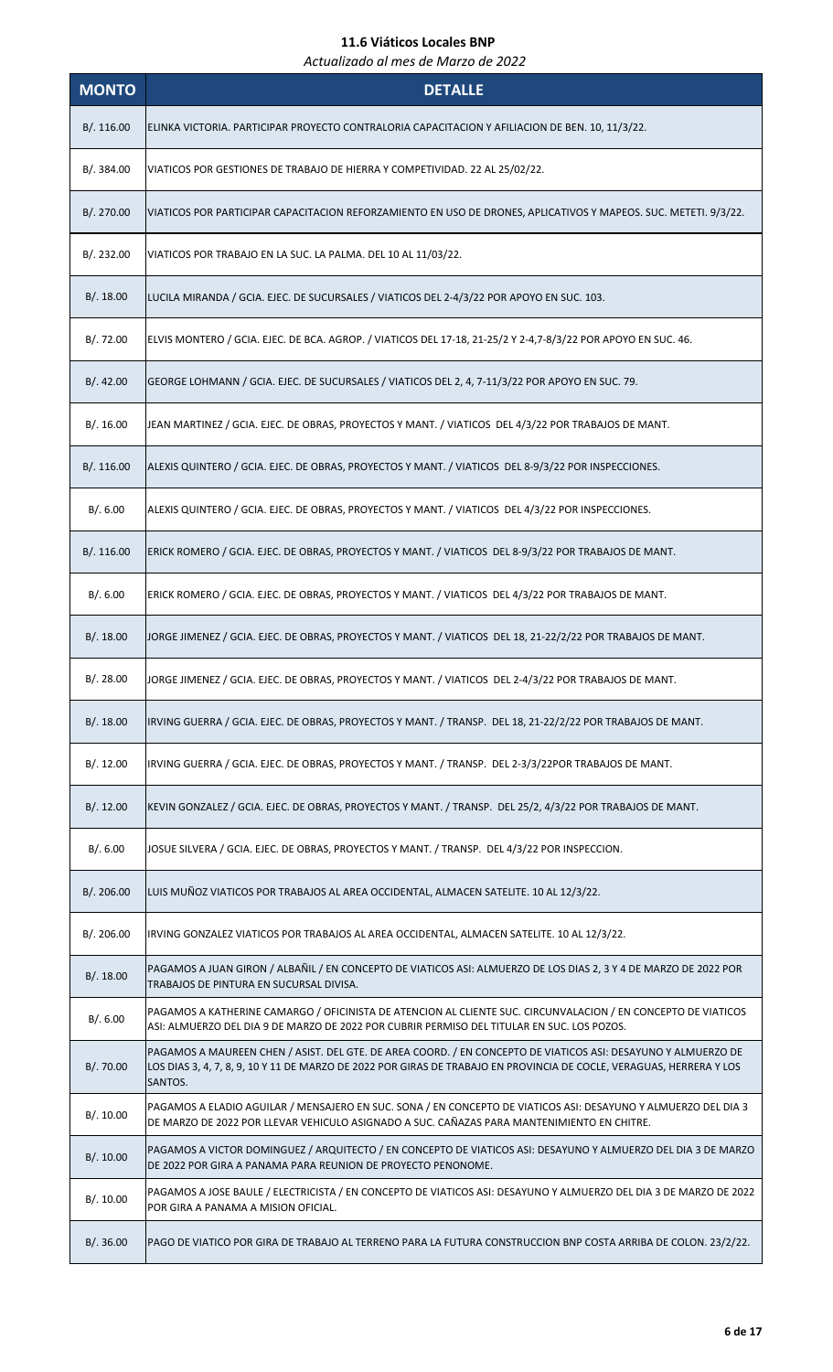| <b>MONTO</b> | <b>DETALLE</b>                                                                                                                                                                                                                                   |
|--------------|--------------------------------------------------------------------------------------------------------------------------------------------------------------------------------------------------------------------------------------------------|
| B/.116.00    | ELINKA VICTORIA. PARTICIPAR PROYECTO CONTRALORIA CAPACITACION Y AFILIACION DE BEN. 10, 11/3/22.                                                                                                                                                  |
| B/. 384.00   | VIATICOS POR GESTIONES DE TRABAJO DE HIERRA Y COMPETIVIDAD. 22 AL 25/02/22.                                                                                                                                                                      |
| B/. 270.00   | VIATICOS POR PARTICIPAR CAPACITACION REFORZAMIENTO EN USO DE DRONES, APLICATIVOS Y MAPEOS. SUC. METETI. 9/3/22.                                                                                                                                  |
| B/. 232.00   | VIATICOS POR TRABAJO EN LA SUC. LA PALMA. DEL 10 AL 11/03/22.                                                                                                                                                                                    |
| B/.18.00     | LUCILA MIRANDA / GCIA. EJEC. DE SUCURSALES / VIATICOS DEL 2-4/3/22 POR APOYO EN SUC. 103.                                                                                                                                                        |
| B/.72.00     | ELVIS MONTERO / GCIA. EJEC. DE BCA. AGROP. / VIATICOS DEL 17-18, 21-25/2 Y 2-4,7-8/3/22 POR APOYO EN SUC. 46.                                                                                                                                    |
| B/.42.00     | GEORGE LOHMANN / GCIA. EJEC. DE SUCURSALES / VIATICOS DEL 2, 4, 7-11/3/22 POR APOYO EN SUC. 79.                                                                                                                                                  |
| B/.16.00     | JEAN MARTINEZ / GCIA. EJEC. DE OBRAS, PROYECTOS Y MANT. / VIATICOS DEL 4/3/22 POR TRABAJOS DE MANT.                                                                                                                                              |
| B/.116.00    | ALEXIS QUINTERO / GCIA. EJEC. DE OBRAS, PROYECTOS Y MANT. / VIATICOS DEL 8-9/3/22 POR INSPECCIONES.                                                                                                                                              |
| B/.6.00      | ALEXIS QUINTERO / GCIA. EJEC. DE OBRAS, PROYECTOS Y MANT. / VIATICOS DEL 4/3/22 POR INSPECCIONES.                                                                                                                                                |
| B/.116.00    | ERICK ROMERO / GCIA. EJEC. DE OBRAS, PROYECTOS Y MANT. / VIATICOS DEL 8-9/3/22 POR TRABAJOS DE MANT.                                                                                                                                             |
| B/.6.00      | ERICK ROMERO / GCIA. EJEC. DE OBRAS, PROYECTOS Y MANT. / VIATICOS DEL 4/3/22 POR TRABAJOS DE MANT.                                                                                                                                               |
| B/.18.00     | JORGE JIMENEZ / GCIA. EJEC. DE OBRAS, PROYECTOS Y MANT. / VIATICOS DEL 18, 21-22/2/22 POR TRABAJOS DE MANT.                                                                                                                                      |
| B/. 28.00    | JORGE JIMENEZ / GCIA. EJEC. DE OBRAS, PROYECTOS Y MANT. / VIATICOS  DEL 2-4/3/22 POR TRABAJOS DE MANT.                                                                                                                                           |
| B/.18.00     | IRVING GUERRA / GCIA. EJEC. DE OBRAS, PROYECTOS Y MANT. / TRANSP. DEL 18, 21-22/2/22 POR TRABAJOS DE MANT.                                                                                                                                       |
| B/. 12.00    | IRVING GUERRA / GCIA. EJEC. DE OBRAS, PROYECTOS Y MANT. / TRANSP. DEL 2-3/3/22POR TRABAJOS DE MANT.                                                                                                                                              |
| B/.12.00     | KEVIN GONZALEZ / GCIA. EJEC. DE OBRAS, PROYECTOS Y MANT. / TRANSP. DEL 25/2, 4/3/22 POR TRABAJOS DE MANT.                                                                                                                                        |
| B/.6.00      | JOSUE SILVERA / GCIA. EJEC. DE OBRAS, PROYECTOS Y MANT. / TRANSP. DEL 4/3/22 POR INSPECCION.                                                                                                                                                     |
| B/. 206.00   | LUIS MUÑOZ VIATICOS POR TRABAJOS AL AREA OCCIDENTAL, ALMACEN SATELITE. 10 AL 12/3/22.                                                                                                                                                            |
| B/. 206.00   | IRVING GONZALEZ VIATICOS POR TRABAJOS AL AREA OCCIDENTAL, ALMACEN SATELITE. 10 AL 12/3/22.                                                                                                                                                       |
| B/.18.00     | PAGAMOS A JUAN GIRON / ALBAÑIL / EN CONCEPTO DE VIATICOS ASI: ALMUERZO DE LOS DIAS 2, 3 Y 4 DE MARZO DE 2022 POR<br>TRABAJOS DE PINTURA EN SUCURSAL DIVISA.                                                                                      |
| B/.6.00      | PAGAMOS A KATHERINE CAMARGO / OFICINISTA DE ATENCION AL CLIENTE SUC. CIRCUNVALACION / EN CONCEPTO DE VIATICOS<br>ASI: ALMUERZO DEL DIA 9 DE MARZO DE 2022 POR CUBRIR PERMISO DEL TITULAR EN SUC. LOS POZOS.                                      |
| B/.70.00     | PAGAMOS A MAUREEN CHEN / ASIST. DEL GTE. DE AREA COORD. / EN CONCEPTO DE VIATICOS ASI: DESAYUNO Y ALMUERZO DE<br>LOS DIAS 3, 4, 7, 8, 9, 10 Y 11 DE MARZO DE 2022 POR GIRAS DE TRABAJO EN PROVINCIA DE COCLE, VERAGUAS, HERRERA Y LOS<br>SANTOS. |
| B/.10.00     | PAGAMOS A ELADIO AGUILAR / MENSAJERO EN SUC. SONA / EN CONCEPTO DE VIATICOS ASI: DESAYUNO Y ALMUERZO DEL DIA 3<br>DE MARZO DE 2022 POR LLEVAR VEHICULO ASIGNADO A SUC. CAÑAZAS PARA MANTENIMIENTO EN CHITRE.                                     |
| B/.10.00     | PAGAMOS A VICTOR DOMINGUEZ / ARQUITECTO / EN CONCEPTO DE VIATICOS ASI: DESAYUNO Y ALMUERZO DEL DIA 3 DE MARZO<br>DE 2022 POR GIRA A PANAMA PARA REUNION DE PROYECTO PENONOME.                                                                    |
| B/.10.00     | PAGAMOS A JOSE BAULE / ELECTRICISTA / EN CONCEPTO DE VIATICOS ASI: DESAYUNO Y ALMUERZO DEL DIA 3 DE MARZO DE 2022<br>POR GIRA A PANAMA A MISION OFICIAL.                                                                                         |
| B/0.36.00    | PAGO DE VIATICO POR GIRA DE TRABAJO AL TERRENO PARA LA FUTURA CONSTRUCCION BNP COSTA ARRIBA DE COLON. 23/2/22.                                                                                                                                   |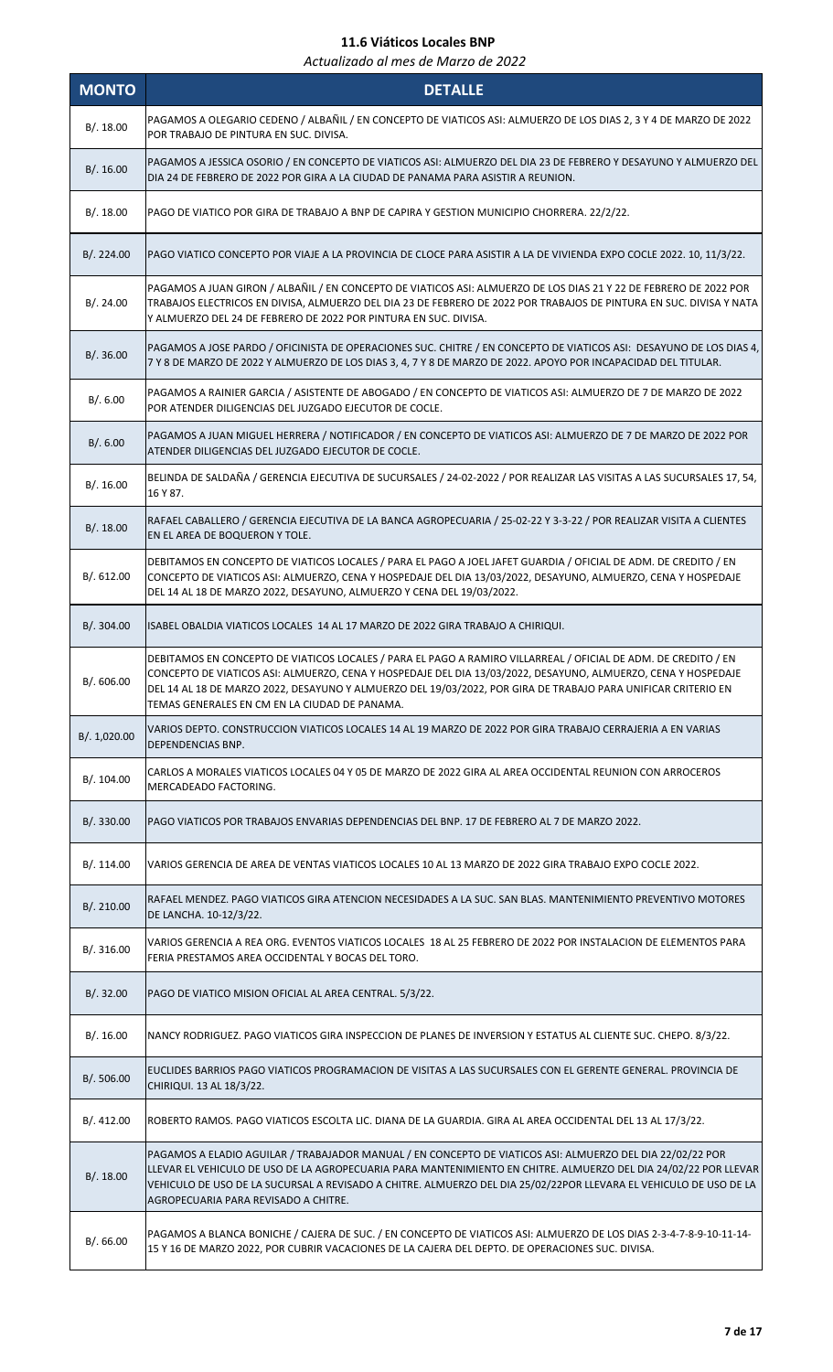| <b>MONTO</b> | <b>DETALLE</b>                                                                                                                                                                                                                                                                                                                                                                                    |
|--------------|---------------------------------------------------------------------------------------------------------------------------------------------------------------------------------------------------------------------------------------------------------------------------------------------------------------------------------------------------------------------------------------------------|
| B/.18.00     | PAGAMOS A OLEGARIO CEDENO / ALBAÑIL / EN CONCEPTO DE VIATICOS ASI: ALMUERZO DE LOS DIAS 2, 3 Y 4 DE MARZO DE 2022<br>POR TRABAJO DE PINTURA EN SUC. DIVISA.                                                                                                                                                                                                                                       |
| B/.16.00     | PAGAMOS A JESSICA OSORIO / EN CONCEPTO DE VIATICOS ASI: ALMUERZO DEL DIA 23 DE FEBRERO Y DESAYUNO Y ALMUERZO DEL<br>DIA 24 DE FEBRERO DE 2022 POR GIRA A LA CIUDAD DE PANAMA PARA ASISTIR A REUNION.                                                                                                                                                                                              |
| B/.18.00     | PAGO DE VIATICO POR GIRA DE TRABAJO A BNP DE CAPIRA Y GESTION MUNICIPIO CHORRERA. 22/2/22.                                                                                                                                                                                                                                                                                                        |
| B/.224.00    | PAGO VIATICO CONCEPTO POR VIAJE A LA PROVINCIA DE CLOCE PARA ASISTIR A LA DE VIVIENDA EXPO COCLE 2022. 10, 11/3/22.                                                                                                                                                                                                                                                                               |
| B/.24.00     | PAGAMOS A JUAN GIRON / ALBAÑIL / EN CONCEPTO DE VIATICOS ASI: ALMUERZO DE LOS DIAS 21 Y 22 DE FEBRERO DE 2022 POR<br>TRABAJOS ELECTRICOS EN DIVISA, ALMUERZO DEL DIA 23 DE FEBRERO DE 2022 POR TRABAJOS DE PINTURA EN SUC. DIVISA Y NATA<br>Y ALMUERZO DEL 24 DE FEBRERO DE 2022 POR PINTURA EN SUC. DIVISA.                                                                                      |
| B/.36.00     | PAGAMOS A JOSE PARDO / OFICINISTA DE OPERACIONES SUC. CHITRE / EN CONCEPTO DE VIATICOS ASI: DESAYUNO DE LOS DIAS 4,<br>7 Y 8 DE MARZO DE 2022 Y ALMUERZO DE LOS DIAS 3, 4, 7 Y 8 DE MARZO DE 2022. APOYO POR INCAPACIDAD DEL TITULAR.                                                                                                                                                             |
| B/.6.00      | PAGAMOS A RAINIER GARCIA / ASISTENTE DE ABOGADO / EN CONCEPTO DE VIATICOS ASI: ALMUERZO DE 7 DE MARZO DE 2022<br>POR ATENDER DILIGENCIAS DEL JUZGADO EJECUTOR DE COCLE.                                                                                                                                                                                                                           |
| B/.6.00      | PAGAMOS A JUAN MIGUEL HERRERA / NOTIFICADOR / EN CONCEPTO DE VIATICOS ASI: ALMUERZO DE 7 DE MARZO DE 2022 POR<br>ATENDER DILIGENCIAS DEL JUZGADO EJECUTOR DE COCLE.                                                                                                                                                                                                                               |
| B/.16.00     | BELINDA DE SALDAÑA / GERENCIA EJECUTIVA DE SUCURSALES / 24-02-2022 / POR REALIZAR LAS VISITAS A LAS SUCURSALES 17, 54,<br>16 Y 87.                                                                                                                                                                                                                                                                |
| B/.18.00     | RAFAEL CABALLERO / GERENCIA EJECUTIVA DE LA BANCA AGROPECUARIA / 25-02-22 Y 3-3-22 / POR REALIZAR VISITA A CLIENTES<br>EN EL AREA DE BOQUERON Y TOLE.                                                                                                                                                                                                                                             |
| B/0.612.00   | DEBITAMOS EN CONCEPTO DE VIATICOS LOCALES / PARA EL PAGO A JOEL JAFET GUARDIA / OFICIAL DE ADM. DE CREDITO / EN<br>CONCEPTO DE VIATICOS ASI: ALMUERZO, CENA Y HOSPEDAJE DEL DIA 13/03/2022, DESAYUNO, ALMUERZO, CENA Y HOSPEDAJE<br>DEL 14 AL 18 DE MARZO 2022, DESAYUNO, ALMUERZO Y CENA DEL 19/03/2022.                                                                                         |
| B/.304.00    | ISABEL OBALDIA VIATICOS LOCALES 14 AL 17 MARZO DE 2022 GIRA TRABAJO A CHIRIQUI.                                                                                                                                                                                                                                                                                                                   |
| B/. 606.00   | DEBITAMOS EN CONCEPTO DE VIATICOS LOCALES / PARA EL PAGO A RAMIRO VILLARREAL / OFICIAL DE ADM. DE CREDITO / EN<br>CONCEPTO DE VIATICOS ASI: ALMUERZO, CENA Y HOSPEDAJE DEL DIA 13/03/2022, DESAYUNO, ALMUERZO, CENA Y HOSPEDAJE<br>DEL 14 AL 18 DE MARZO 2022, DESAYUNO Y ALMUERZO DEL 19/03/2022, POR GIRA DE TRABAJO PARA UNIFICAR CRITERIO EN<br>TEMAS GENERALES EN CM EN LA CIUDAD DE PANAMA. |
| B/. 1,020.00 | VARIOS DEPTO. CONSTRUCCION VIATICOS LOCALES 14 AL 19 MARZO DE 2022 POR GIRA TRABAJO CERRAJERIA A EN VARIAS<br>DEPENDENCIAS BNP.                                                                                                                                                                                                                                                                   |
| B/. 104.00   | CARLOS A MORALES VIATICOS LOCALES 04 Y 05 DE MARZO DE 2022 GIRA AL AREA OCCIDENTAL REUNION CON ARROCEROS<br>MERCADEADO FACTORING.                                                                                                                                                                                                                                                                 |
| B/. 330.00   | PAGO VIATICOS POR TRABAJOS ENVARIAS DEPENDENCIAS DEL BNP. 17 DE FEBRERO AL 7 DE MARZO 2022.                                                                                                                                                                                                                                                                                                       |
| B/.114.00    | VARIOS GERENCIA DE AREA DE VENTAS VIATICOS LOCALES 10 AL 13 MARZO DE 2022 GIRA TRABAJO EXPO COCLE 2022.                                                                                                                                                                                                                                                                                           |
| B/. 210.00   | RAFAEL MENDEZ. PAGO VIATICOS GIRA ATENCION NECESIDADES A LA SUC. SAN BLAS. MANTENIMIENTO PREVENTIVO MOTORES<br>DE LANCHA. 10-12/3/22.                                                                                                                                                                                                                                                             |
| B/. 316.00   | VARIOS GERENCIA A REA ORG. EVENTOS VIATICOS LOCALES 18 AL 25 FEBRERO DE 2022 POR INSTALACION DE ELEMENTOS PARA<br>FERIA PRESTAMOS AREA OCCIDENTAL Y BOCAS DEL TORO.                                                                                                                                                                                                                               |
| B/.32.00     | PAGO DE VIATICO MISION OFICIAL AL AREA CENTRAL. 5/3/22.                                                                                                                                                                                                                                                                                                                                           |
| B/.16.00     | NANCY RODRIGUEZ. PAGO VIATICOS GIRA INSPECCION DE PLANES DE INVERSION Y ESTATUS AL CLIENTE SUC. CHEPO. 8/3/22.                                                                                                                                                                                                                                                                                    |
| B/. 506.00   | EUCLIDES BARRIOS PAGO VIATICOS PROGRAMACION DE VISITAS A LAS SUCURSALES CON EL GERENTE GENERAL. PROVINCIA DE<br>CHIRIQUI. 13 AL 18/3/22.                                                                                                                                                                                                                                                          |
| B/.412.00    | ROBERTO RAMOS. PAGO VIATICOS ESCOLTA LIC. DIANA DE LA GUARDIA. GIRA AL AREA OCCIDENTAL DEL 13 AL 17/3/22.                                                                                                                                                                                                                                                                                         |
| B/.18.00     | PAGAMOS A ELADIO AGUILAR / TRABAJADOR MANUAL / EN CONCEPTO DE VIATICOS ASI: ALMUERZO DEL DIA 22/02/22 POR<br>LLEVAR EL VEHICULO DE USO DE LA AGROPECUARIA PARA MANTENIMIENTO EN CHITRE. ALMUERZO DEL DIA 24/02/22 POR LLEVAR<br>VEHICULO DE USO DE LA SUCURSAL A REVISADO A CHITRE. ALMUERZO DEL DIA 25/02/22POR LLEVARA EL VEHICULO DE USO DE LA<br>AGROPECUARIA PARA REVISADO A CHITRE.         |
| B/0.66.00    | PAGAMOS A BLANCA BONICHE / CAJERA DE SUC. / EN CONCEPTO DE VIATICOS ASI: ALMUERZO DE LOS DIAS 2-3-4-7-8-9-10-11-14-<br>15 Y 16 DE MARZO 2022, POR CUBRIR VACACIONES DE LA CAJERA DEL DEPTO. DE OPERACIONES SUC. DIVISA.                                                                                                                                                                           |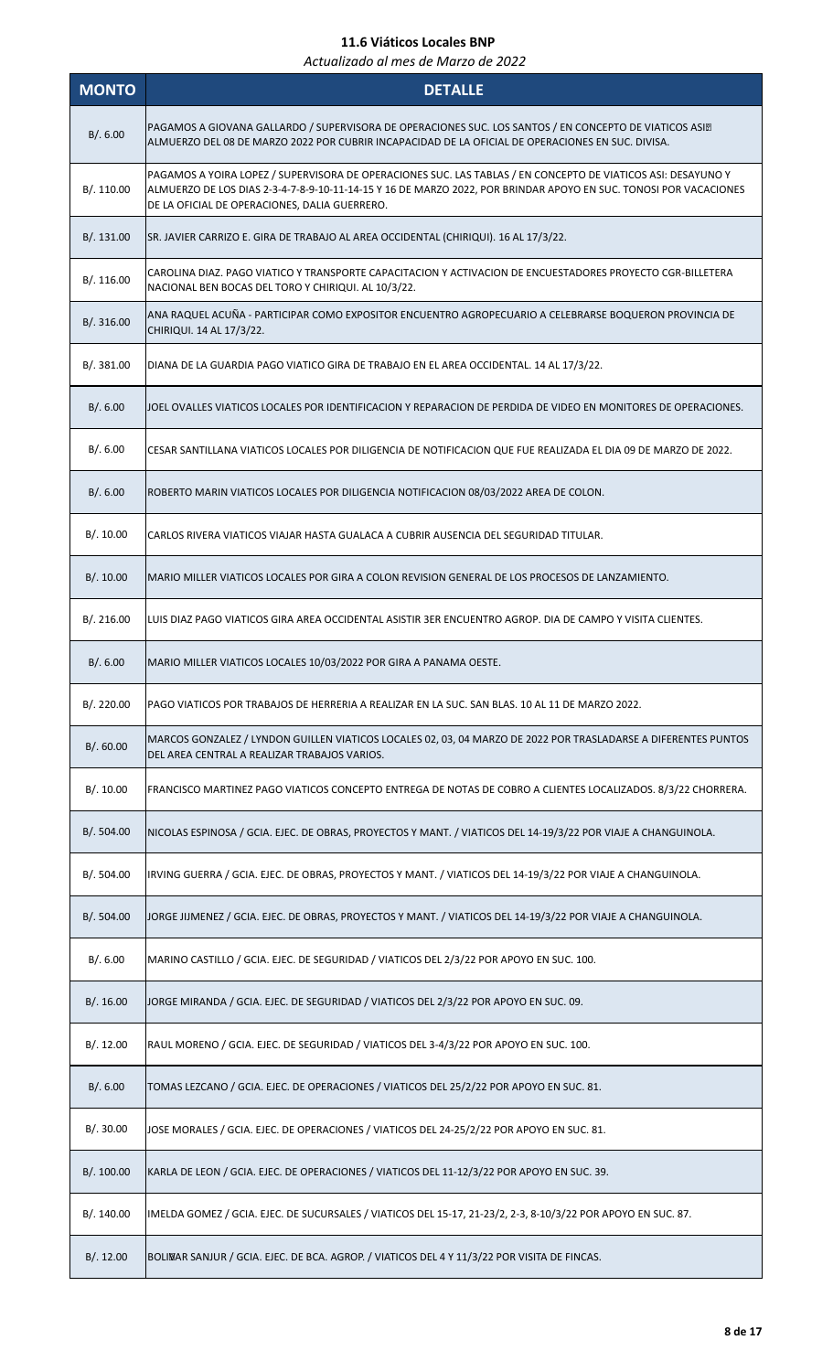| <b>MONTO</b> | <b>DETALLE</b>                                                                                                                                                                                                                                                                    |
|--------------|-----------------------------------------------------------------------------------------------------------------------------------------------------------------------------------------------------------------------------------------------------------------------------------|
| B/.6.00      | PAGAMOS A GIOVANA GALLARDO / SUPERVISORA DE OPERACIONES SUC. LOS SANTOS / EN CONCEPTO DE VIATICOS ASI.<br>ALMUERZO DEL 08 DE MARZO 2022 POR CUBRIR INCAPACIDAD DE LA OFICIAL DE OPERACIONES EN SUC. DIVISA.                                                                       |
| B/. 110.00   | PAGAMOS A YOIRA LOPEZ / SUPERVISORA DE OPERACIONES SUC. LAS TABLAS / EN CONCEPTO DE VIATICOS ASI: DESAYUNO Y<br>ALMUERZO DE LOS DIAS 2-3-4-7-8-9-10-11-14-15 Y 16 DE MARZO 2022, POR BRINDAR APOYO EN SUC. TONOSI POR VACACIONES<br>DE LA OFICIAL DE OPERACIONES, DALIA GUERRERO. |
| B/.131.00    | SR. JAVIER CARRIZO E. GIRA DE TRABAJO AL AREA OCCIDENTAL (CHIRIQUI). 16 AL 17/3/22.                                                                                                                                                                                               |
| B/.116.00    | CAROLINA DIAZ. PAGO VIATICO Y TRANSPORTE CAPACITACION Y ACTIVACION DE ENCUESTADORES PROYECTO CGR-BILLETERA<br>NACIONAL BEN BOCAS DEL TORO Y CHIRIQUI. AL 10/3/22.                                                                                                                 |
| B/. 316.00   | ANA RAQUEL ACUÑA - PARTICIPAR COMO EXPOSITOR ENCUENTRO AGROPECUARIO A CELEBRARSE BOQUERON PROVINCIA DE<br>CHIRIQUI. 14 AL 17/3/22.                                                                                                                                                |
| B/. 381.00   | DIANA DE LA GUARDIA PAGO VIATICO GIRA DE TRABAJO EN EL AREA OCCIDENTAL. 14 AL 17/3/22.                                                                                                                                                                                            |
| B/0.6.00     | JOEL OVALLES VIATICOS LOCALES POR IDENTIFICACION Y REPARACION DE PERDIDA DE VIDEO EN MONITORES DE OPERACIONES.                                                                                                                                                                    |
| B/.6.00      | CESAR SANTILLANA VIATICOS LOCALES POR DILIGENCIA DE NOTIFICACION QUE FUE REALIZADA EL DIA 09 DE MARZO DE 2022.                                                                                                                                                                    |
| B/.6.00      | ROBERTO MARIN VIATICOS LOCALES POR DILIGENCIA NOTIFICACION 08/03/2022 AREA DE COLON.                                                                                                                                                                                              |
| B/.10.00     | CARLOS RIVERA VIATICOS VIAJAR HASTA GUALACA A CUBRIR AUSENCIA DEL SEGURIDAD TITULAR.                                                                                                                                                                                              |
| B/.10.00     | MARIO MILLER VIATICOS LOCALES POR GIRA A COLON REVISION GENERAL DE LOS PROCESOS DE LANZAMIENTO.                                                                                                                                                                                   |
| B/.216.00    | LUIS DIAZ PAGO VIATICOS GIRA AREA OCCIDENTAL ASISTIR 3ER ENCUENTRO AGROP. DIA DE CAMPO Y VISITA CLIENTES.                                                                                                                                                                         |
| B/.6.00      | MARIO MILLER VIATICOS LOCALES 10/03/2022 POR GIRA A PANAMA OESTE.                                                                                                                                                                                                                 |
| B/.220.00    | PAGO VIATICOS POR TRABAJOS DE HERRERIA A REALIZAR EN LA SUC. SAN BLAS. 10 AL 11 DE MARZO 2022.                                                                                                                                                                                    |
| B/0.60.00    | MARCOS GONZALEZ / LYNDON GUILLEN VIATICOS LOCALES 02, 03, 04 MARZO DE 2022 POR TRASLADARSE A DIFERENTES PUNTOS<br>DEL AREA CENTRAL A REALIZAR TRABAJOS VARIOS.                                                                                                                    |
| B/.10.00     | FRANCISCO MARTINEZ PAGO VIATICOS CONCEPTO ENTREGA DE NOTAS DE COBRO A CLIENTES LOCALIZADOS. 8/3/22 CHORRERA.                                                                                                                                                                      |
| B/.504.00    | NICOLAS ESPINOSA / GCIA. EJEC. DE OBRAS, PROYECTOS Y MANT. / VIATICOS DEL 14-19/3/22 POR VIAJE A CHANGUINOLA.                                                                                                                                                                     |
| B/.504.00    | IRVING GUERRA / GCIA. EJEC. DE OBRAS, PROYECTOS Y MANT. / VIATICOS DEL 14-19/3/22 POR VIAJE A CHANGUINOLA.                                                                                                                                                                        |
| B/.504.00    | JORGE JIJMENEZ / GCIA. EJEC. DE OBRAS, PROYECTOS Y MANT. / VIATICOS DEL 14-19/3/22 POR VIAJE A CHANGUINOLA.                                                                                                                                                                       |
| B/.6.00      | MARINO CASTILLO / GCIA. EJEC. DE SEGURIDAD / VIATICOS DEL 2/3/22 POR APOYO EN SUC. 100.                                                                                                                                                                                           |
| B/.16.00     | JORGE MIRANDA / GCIA. EJEC. DE SEGURIDAD / VIATICOS DEL 2/3/22 POR APOYO EN SUC. 09.                                                                                                                                                                                              |
| B/.12.00     | RAUL MORENO / GCIA. EJEC. DE SEGURIDAD / VIATICOS DEL 3-4/3/22 POR APOYO EN SUC. 100.                                                                                                                                                                                             |
| B/.6.00      | TOMAS LEZCANO / GCIA. EJEC. DE OPERACIONES / VIATICOS DEL 25/2/22 POR APOYO EN SUC. 81.                                                                                                                                                                                           |
| B/.30.00     | JOSE MORALES / GCIA. EJEC. DE OPERACIONES / VIATICOS DEL 24-25/2/22 POR APOYO EN SUC. 81.                                                                                                                                                                                         |
| B/. 100.00   | KARLA DE LEON / GCIA. EJEC. DE OPERACIONES / VIATICOS DEL 11-12/3/22 POR APOYO EN SUC. 39.                                                                                                                                                                                        |
| B/. 140.00   | IMELDA GOMEZ / GCIA. EJEC. DE SUCURSALES / VIATICOS DEL 15-17, 21-23/2, 2-3, 8-10/3/22 POR APOYO EN SUC. 87.                                                                                                                                                                      |
| B/.12.00     | BOLIVAR SANJUR / GCIA. EJEC. DE BCA. AGROP. / VIATICOS DEL 4 Y 11/3/22 POR VISITA DE FINCAS.                                                                                                                                                                                      |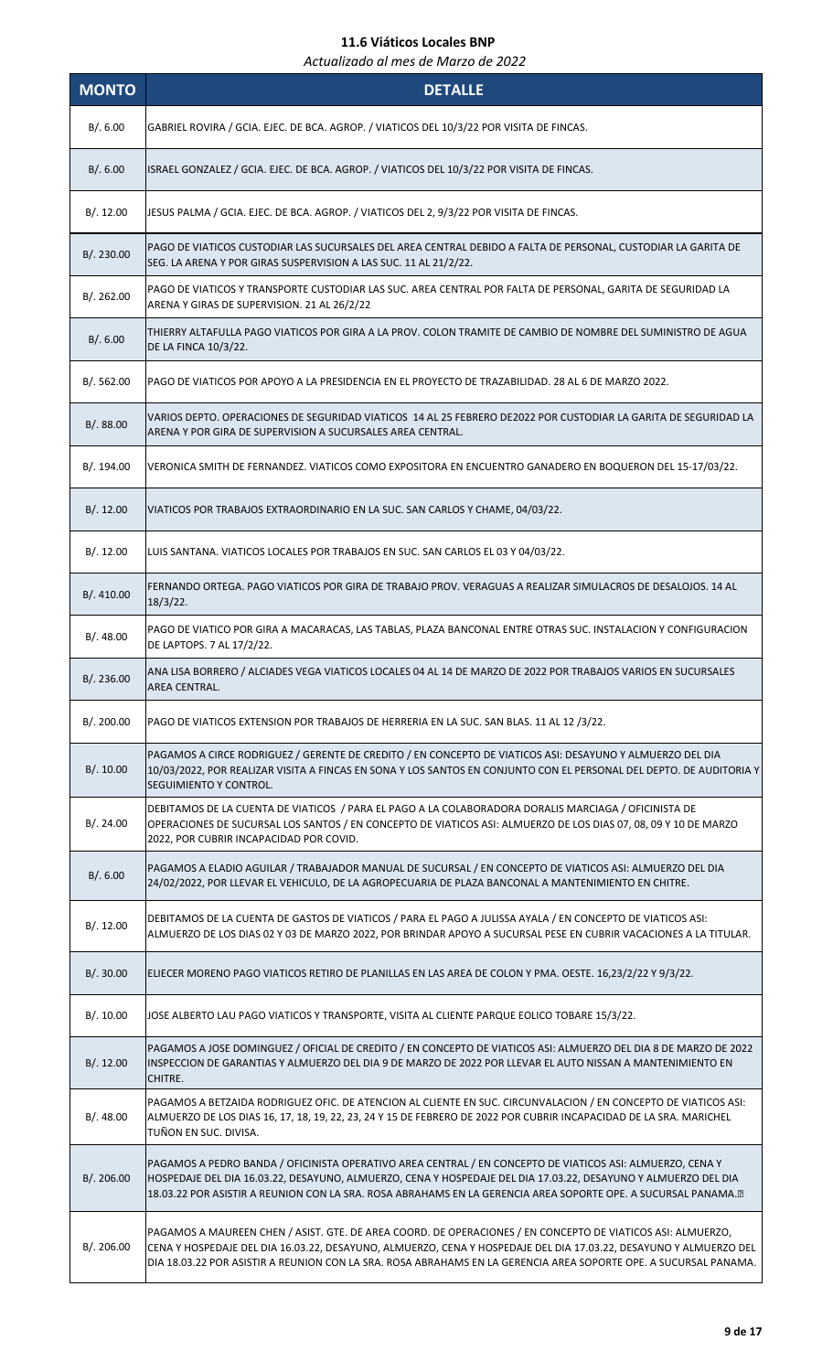| <b>MONTO</b> | <b>DETALLE</b>                                                                                                                                                                                                                                                                                                                                       |
|--------------|------------------------------------------------------------------------------------------------------------------------------------------------------------------------------------------------------------------------------------------------------------------------------------------------------------------------------------------------------|
| B/.6.00      | GABRIEL ROVIRA / GCIA. EJEC. DE BCA. AGROP. / VIATICOS DEL 10/3/22 POR VISITA DE FINCAS.                                                                                                                                                                                                                                                             |
| B/0.6.00     | ISRAEL GONZALEZ / GCIA. EJEC. DE BCA. AGROP. / VIATICOS DEL 10/3/22 POR VISITA DE FINCAS.                                                                                                                                                                                                                                                            |
| B/.12.00     | JESUS PALMA / GCIA. EJEC. DE BCA. AGROP. / VIATICOS DEL 2, 9/3/22 POR VISITA DE FINCAS.                                                                                                                                                                                                                                                              |
| B/. 230.00   | PAGO DE VIATICOS CUSTODIAR LAS SUCURSALES DEL AREA CENTRAL DEBIDO A FALTA DE PERSONAL, CUSTODIAR LA GARITA DE<br>SEG. LA ARENA Y POR GIRAS SUSPERVISION A LAS SUC. 11 AL 21/2/22.                                                                                                                                                                    |
| B/.262.00    | PAGO DE VIATICOS Y TRANSPORTE CUSTODIAR LAS SUC. AREA CENTRAL POR FALTA DE PERSONAL, GARITA DE SEGURIDAD LA<br>ARENA Y GIRAS DE SUPERVISION. 21 AL 26/2/22                                                                                                                                                                                           |
| B/.6.00      | THIERRY ALTAFULLA PAGO VIATICOS POR GIRA A LA PROV. COLON TRAMITE DE CAMBIO DE NOMBRE DEL SUMINISTRO DE AGUA<br>DE LA FINCA 10/3/22.                                                                                                                                                                                                                 |
| B/.562.00    | PAGO DE VIATICOS POR APOYO A LA PRESIDENCIA EN EL PROYECTO DE TRAZABILIDAD. 28 AL 6 DE MARZO 2022.                                                                                                                                                                                                                                                   |
| B/0.88.00    | VARIOS DEPTO. OPERACIONES DE SEGURIDAD VIATICOS 14 AL 25 FEBRERO DE2022 POR CUSTODIAR LA GARITA DE SEGURIDAD LA<br>ARENA Y POR GIRA DE SUPERVISION A SUCURSALES AREA CENTRAL.                                                                                                                                                                        |
| B/. 194.00   | VERONICA SMITH DE FERNANDEZ. VIATICOS COMO EXPOSITORA EN ENCUENTRO GANADERO EN BOQUERON DEL 15-17/03/22.                                                                                                                                                                                                                                             |
| B/.12.00     | VIATICOS POR TRABAJOS EXTRAORDINARIO EN LA SUC. SAN CARLOS Y CHAME, 04/03/22.                                                                                                                                                                                                                                                                        |
| B/.12.00     | LUIS SANTANA. VIATICOS LOCALES POR TRABAJOS EN SUC. SAN CARLOS EL 03 Y 04/03/22.                                                                                                                                                                                                                                                                     |
| B/. 410.00   | FERNANDO ORTEGA. PAGO VIATICOS POR GIRA DE TRABAJO PROV. VERAGUAS A REALIZAR SIMULACROS DE DESALOJOS. 14 AL<br>$18/3/22$ .                                                                                                                                                                                                                           |
| B/.48.00     | PAGO DE VIATICO POR GIRA A MACARACAS, LAS TABLAS, PLAZA BANCONAL ENTRE OTRAS SUC. INSTALACION Y CONFIGURACION<br>DE LAPTOPS. 7 AL 17/2/22.                                                                                                                                                                                                           |
| B/.236.00    | ANA LISA BORRERO / ALCIADES VEGA VIATICOS LOCALES 04 AL 14 DE MARZO DE 2022 POR TRABAJOS VARIOS EN SUCURSALES<br>AREA CENTRAL.                                                                                                                                                                                                                       |
| B/. 200.00   | PAGO DE VIATICOS EXTENSION POR TRABAJOS DE HERRERIA EN LA SUC. SAN BLAS. 11 AL 12 /3/22.                                                                                                                                                                                                                                                             |
| B/. 10.00    | PAGAMOS A CIRCE RODRIGUEZ / GERENTE DE CREDITO / EN CONCEPTO DE VIATICOS ASI: DESAYUNO Y ALMUERZO DEL DIA<br>10/03/2022, POR REALIZAR VISITA A FINCAS EN SONA Y LOS SANTOS EN CONJUNTO CON EL PERSONAL DEL DEPTO. DE AUDITORIA Y<br><b>SEGUIMIENTO Y CONTROL.</b>                                                                                    |
| B/. 24.00    | DEBITAMOS DE LA CUENTA DE VIATICOS / PARA EL PAGO A LA COLABORADORA DORALIS MARCIAGA / OFICINISTA DE<br>OPERACIONES DE SUCURSAL LOS SANTOS / EN CONCEPTO DE VIATICOS ASI: ALMUERZO DE LOS DIAS 07, 08, 09 Y 10 DE MARZO<br>2022, POR CUBRIR INCAPACIDAD POR COVID.                                                                                   |
| B/.6.00      | PAGAMOS A ELADIO AGUILAR / TRABAJADOR MANUAL DE SUCURSAL / EN CONCEPTO DE VIATICOS ASI: ALMUERZO DEL DIA<br>24/02/2022, POR LLEVAR EL VEHICULO, DE LA AGROPECUARIA DE PLAZA BANCONAL A MANTENIMIENTO EN CHITRE.                                                                                                                                      |
| B/.12.00     | DEBITAMOS DE LA CUENTA DE GASTOS DE VIATICOS / PARA EL PAGO A JULISSA AYALA / EN CONCEPTO DE VIATICOS ASI:<br>ALMUERZO DE LOS DIAS 02 Y 03 DE MARZO 2022, POR BRINDAR APOYO A SUCURSAL PESE EN CUBRIR VACACIONES A LA TITULAR.                                                                                                                       |
| B/.30.00     | ELIECER MORENO PAGO VIATICOS RETIRO DE PLANILLAS EN LAS AREA DE COLON Y PMA. OESTE. 16,23/2/22 Y 9/3/22.                                                                                                                                                                                                                                             |
| B/.10.00     | JOSE ALBERTO LAU PAGO VIATICOS Y TRANSPORTE, VISITA AL CLIENTE PARQUE EOLICO TOBARE 15/3/22.                                                                                                                                                                                                                                                         |
| B/.12.00     | PAGAMOS A JOSE DOMINGUEZ / OFICIAL DE CREDITO / EN CONCEPTO DE VIATICOS ASI: ALMUERZO DEL DIA 8 DE MARZO DE 2022<br>INSPECCION DE GARANTIAS Y ALMUERZO DEL DIA 9 DE MARZO DE 2022 POR LLEVAR EL AUTO NISSAN A MANTENIMIENTO EN<br>CHITRE.                                                                                                            |
| B/.48.00     | PAGAMOS A BETZAIDA RODRIGUEZ OFIC. DE ATENCION AL CLIENTE EN SUC. CIRCUNVALACION / EN CONCEPTO DE VIATICOS ASI:<br>ALMUERZO DE LOS DIAS 16, 17, 18, 19, 22, 23, 24 Y 15 DE FEBRERO DE 2022 POR CUBRIR INCAPACIDAD DE LA SRA. MARICHEL<br>TUÑON EN SUC. DIVISA.                                                                                       |
| B/. 206.00   | PAGAMOS A PEDRO BANDA / OFICINISTA OPERATIVO AREA CENTRAL / EN CONCEPTO DE VIATICOS ASI: ALMUERZO, CENA Y<br>HOSPEDAJE DEL DIA 16.03.22, DESAYUNO, ALMUERZO, CENA Y HOSPEDAJE DEL DIA 17.03.22, DESAYUNO Y ALMUERZO DEL DIA<br>18.03.22 POR ASISTIR A REUNION CON LA SRA. ROSA ABRAHAMS EN LA GERENCIA AREA SOPORTE OPE. A SUCURSAL PANAMA.          |
| B/. 206.00   | PAGAMOS A MAUREEN CHEN / ASIST. GTE. DE AREA COORD. DE OPERACIONES / EN CONCEPTO DE VIATICOS ASI: ALMUERZO,<br>CENA Y HOSPEDAJE DEL DIA 16.03.22, DESAYUNO, ALMUERZO, CENA Y HOSPEDAJE DEL DIA 17.03.22, DESAYUNO Y ALMUERZO DEL<br>DIA 18.03.22 POR ASISTIR A REUNION CON LA SRA. ROSA ABRAHAMS EN LA GERENCIA AREA SOPORTE OPE. A SUCURSAL PANAMA. |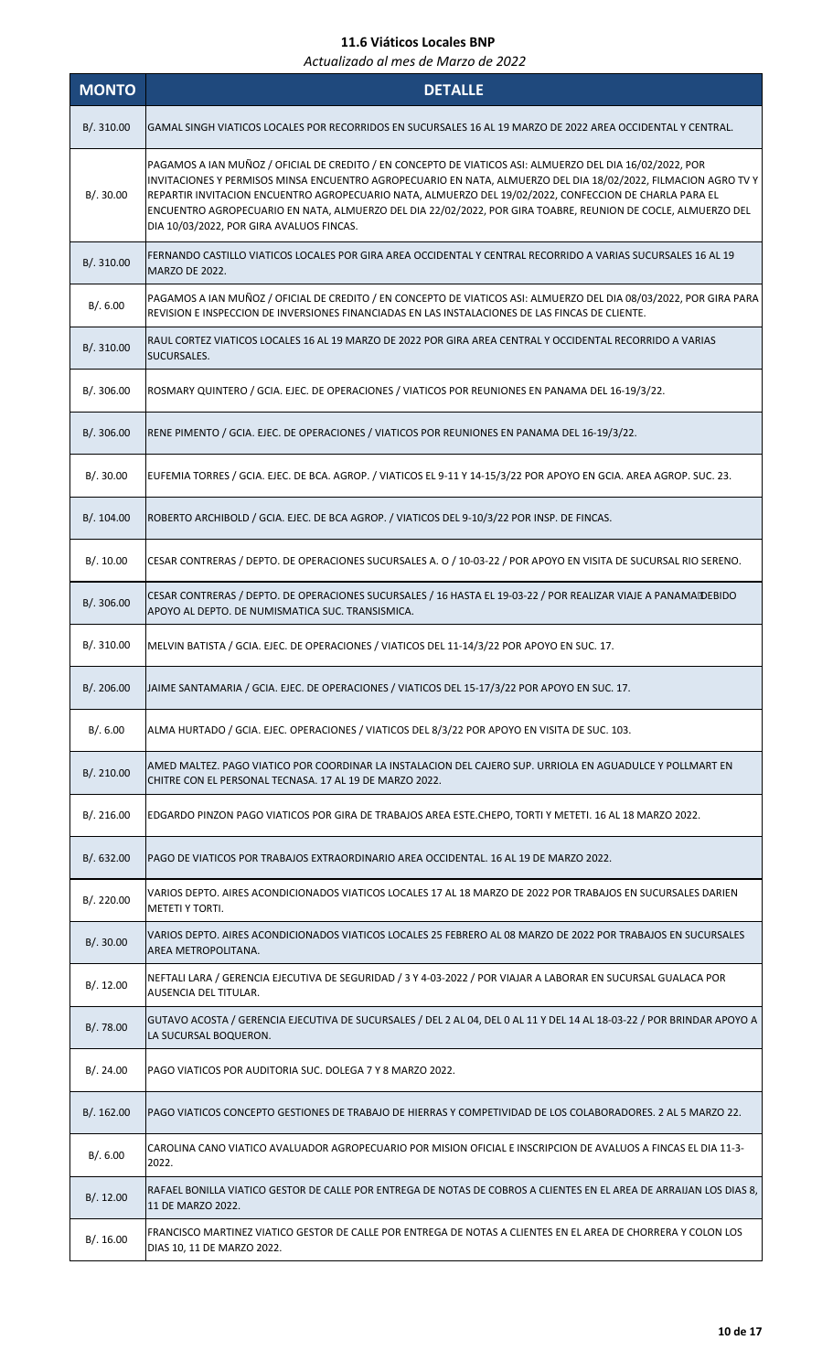| <b>MONTO</b> | <b>DETALLE</b>                                                                                                                                                                                                                                                                                                                                                                                                                                                                                   |
|--------------|--------------------------------------------------------------------------------------------------------------------------------------------------------------------------------------------------------------------------------------------------------------------------------------------------------------------------------------------------------------------------------------------------------------------------------------------------------------------------------------------------|
| B/.310.00    | GAMAL SINGH VIATICOS LOCALES POR RECORRIDOS EN SUCURSALES 16 AL 19 MARZO DE 2022 AREA OCCIDENTAL Y CENTRAL.                                                                                                                                                                                                                                                                                                                                                                                      |
| B/.30.00     | PAGAMOS A IAN MUÑOZ / OFICIAL DE CREDITO / EN CONCEPTO DE VIATICOS ASI: ALMUERZO DEL DIA 16/02/2022, POR<br>INVITACIONES Y PERMISOS MINSA ENCUENTRO AGROPECUARIO EN NATA, ALMUERZO DEL DIA 18/02/2022, FILMACION AGRO TV Y<br>REPARTIR INVITACION ENCUENTRO AGROPECUARIO NATA, ALMUERZO DEL 19/02/2022, CONFECCION DE CHARLA PARA EL<br>ENCUENTRO AGROPECUARIO EN NATA, ALMUERZO DEL DIA 22/02/2022, POR GIRA TOABRE, REUNION DE COCLE, ALMUERZO DEL<br>DIA 10/03/2022, POR GIRA AVALUOS FINCAS. |
| B/. 310.00   | FERNANDO CASTILLO VIATICOS LOCALES POR GIRA AREA OCCIDENTAL Y CENTRAL RECORRIDO A VARIAS SUCURSALES 16 AL 19<br><b>MARZO DE 2022.</b>                                                                                                                                                                                                                                                                                                                                                            |
| B/.6.00      | PAGAMOS A IAN MUÑOZ / OFICIAL DE CREDITO / EN CONCEPTO DE VIATICOS ASI: ALMUERZO DEL DIA 08/03/2022, POR GIRA PARA<br>REVISION E INSPECCION DE INVERSIONES FINANCIADAS EN LAS INSTALACIONES DE LAS FINCAS DE CLIENTE.                                                                                                                                                                                                                                                                            |
| B/. 310.00   | RAUL CORTEZ VIATICOS LOCALES 16 AL 19 MARZO DE 2022 POR GIRA AREA CENTRAL Y OCCIDENTAL RECORRIDO A VARIAS<br>SUCURSALES.                                                                                                                                                                                                                                                                                                                                                                         |
| B/. 306.00   | ROSMARY QUINTERO / GCIA. EJEC. DE OPERACIONES / VIATICOS POR REUNIONES EN PANAMA DEL 16-19/3/22.                                                                                                                                                                                                                                                                                                                                                                                                 |
| B/. 306.00   | RENE PIMENTO / GCIA. EJEC. DE OPERACIONES / VIATICOS POR REUNIONES EN PANAMA DEL 16-19/3/22.                                                                                                                                                                                                                                                                                                                                                                                                     |
| B/.30.00     | EUFEMIA TORRES / GCIA. EJEC. DE BCA. AGROP. / VIATICOS EL 9-11 Y 14-15/3/22 POR APOYO EN GCIA. AREA AGROP. SUC. 23.                                                                                                                                                                                                                                                                                                                                                                              |
| B/. 104.00   | ROBERTO ARCHIBOLD / GCIA. EJEC. DE BCA AGROP. / VIATICOS DEL 9-10/3/22 POR INSP. DE FINCAS.                                                                                                                                                                                                                                                                                                                                                                                                      |
| B/.10.00     | CESAR CONTRERAS / DEPTO. DE OPERACIONES SUCURSALES A. O / 10-03-22 / POR APOYO EN VISITA DE SUCURSAL RIO SERENO.                                                                                                                                                                                                                                                                                                                                                                                 |
| B/. 306.00   | CESAR CONTRERAS / DEPTO. DE OPERACIONES SUCURSALES / 16 HASTA EL 19-03-22 / POR REALIZAR VIAJE A PANAMA DEBIDO<br>APOYO AL DEPTO. DE NUMISMATICA SUC. TRANSISMICA.                                                                                                                                                                                                                                                                                                                               |
| B/.310.00    | MELVIN BATISTA / GCIA. EJEC. DE OPERACIONES / VIATICOS DEL 11-14/3/22 POR APOYO EN SUC. 17.                                                                                                                                                                                                                                                                                                                                                                                                      |
| B/. 206.00   | JJAIME SANTAMARIA / GCIA. EJEC. DE OPERACIONES / VIATICOS DEL 15-17/3/22 POR APOYO EN SUC. 17.                                                                                                                                                                                                                                                                                                                                                                                                   |
| B/. 6.00     | ALMA HURTADO / GCIA. EJEC. OPERACIONES / VIATICOS DEL 8/3/22 POR APOYO EN VISITA DE SUC. 103.                                                                                                                                                                                                                                                                                                                                                                                                    |
| B/. 210.00   | AMED MALTEZ. PAGO VIATICO POR COORDINAR LA INSTALACION DEL CAJERO SUP. URRIOLA EN AGUADULCE Y POLLMART EN<br>CHITRE CON EL PERSONAL TECNASA. 17 AL 19 DE MARZO 2022.                                                                                                                                                                                                                                                                                                                             |
| B/.216.00    | EDGARDO PINZON PAGO VIATICOS POR GIRA DE TRABAJOS AREA ESTE.CHEPO, TORTI Y METETI. 16 AL 18 MARZO 2022.                                                                                                                                                                                                                                                                                                                                                                                          |
| B/. 632.00   | PAGO DE VIATICOS POR TRABAJOS EXTRAORDINARIO AREA OCCIDENTAL. 16 AL 19 DE MARZO 2022.                                                                                                                                                                                                                                                                                                                                                                                                            |
| B/.220.00    | VARIOS DEPTO. AIRES ACONDICIONADOS VIATICOS LOCALES 17 AL 18 MARZO DE 2022 POR TRABAJOS EN SUCURSALES DARIEN<br><b>METETI Y TORTI.</b>                                                                                                                                                                                                                                                                                                                                                           |
| B/.30.00     | VARIOS DEPTO. AIRES ACONDICIONADOS VIATICOS LOCALES 25 FEBRERO AL 08 MARZO DE 2022 POR TRABAJOS EN SUCURSALES<br>AREA METROPOLITANA.                                                                                                                                                                                                                                                                                                                                                             |
| B/.12.00     | NEFTALI LARA / GERENCIA EJECUTIVA DE SEGURIDAD / 3 Y 4-03-2022 / POR VIAJAR A LABORAR EN SUCURSAL GUALACA POR<br>AUSENCIA DEL TITULAR.                                                                                                                                                                                                                                                                                                                                                           |
| B/.78.00     | GUTAVO ACOSTA / GERENCIA EJECUTIVA DE SUCURSALES / DEL 2 AL 04, DEL 0 AL 11 Y DEL 14 AL 18-03-22 / POR BRINDAR APOYO A<br>LA SUCURSAL BOQUERON.                                                                                                                                                                                                                                                                                                                                                  |
| B/.24.00     | PAGO VIATICOS POR AUDITORIA SUC. DOLEGA 7 Y 8 MARZO 2022.                                                                                                                                                                                                                                                                                                                                                                                                                                        |
| B/. 162.00   | PAGO VIATICOS CONCEPTO GESTIONES DE TRABAJO DE HIERRAS Y COMPETIVIDAD DE LOS COLABORADORES. 2 AL 5 MARZO 22.                                                                                                                                                                                                                                                                                                                                                                                     |
| B/.6.00      | CAROLINA CANO VIATICO AVALUADOR AGROPECUARIO POR MISION OFICIAL E INSCRIPCION DE AVALUOS A FINCAS EL DIA 11-3-<br>2022.                                                                                                                                                                                                                                                                                                                                                                          |
| B/.12.00     | RAFAEL BONILLA VIATICO GESTOR DE CALLE POR ENTREGA DE NOTAS DE COBROS A CLIENTES EN EL AREA DE ARRAIJAN LOS DIAS 8,<br>11 DE MARZO 2022.                                                                                                                                                                                                                                                                                                                                                         |
| B/.16.00     | FRANCISCO MARTINEZ VIATICO GESTOR DE CALLE POR ENTREGA DE NOTAS A CLIENTES EN EL AREA DE CHORRERA Y COLON LOS<br>DIAS 10, 11 DE MARZO 2022.                                                                                                                                                                                                                                                                                                                                                      |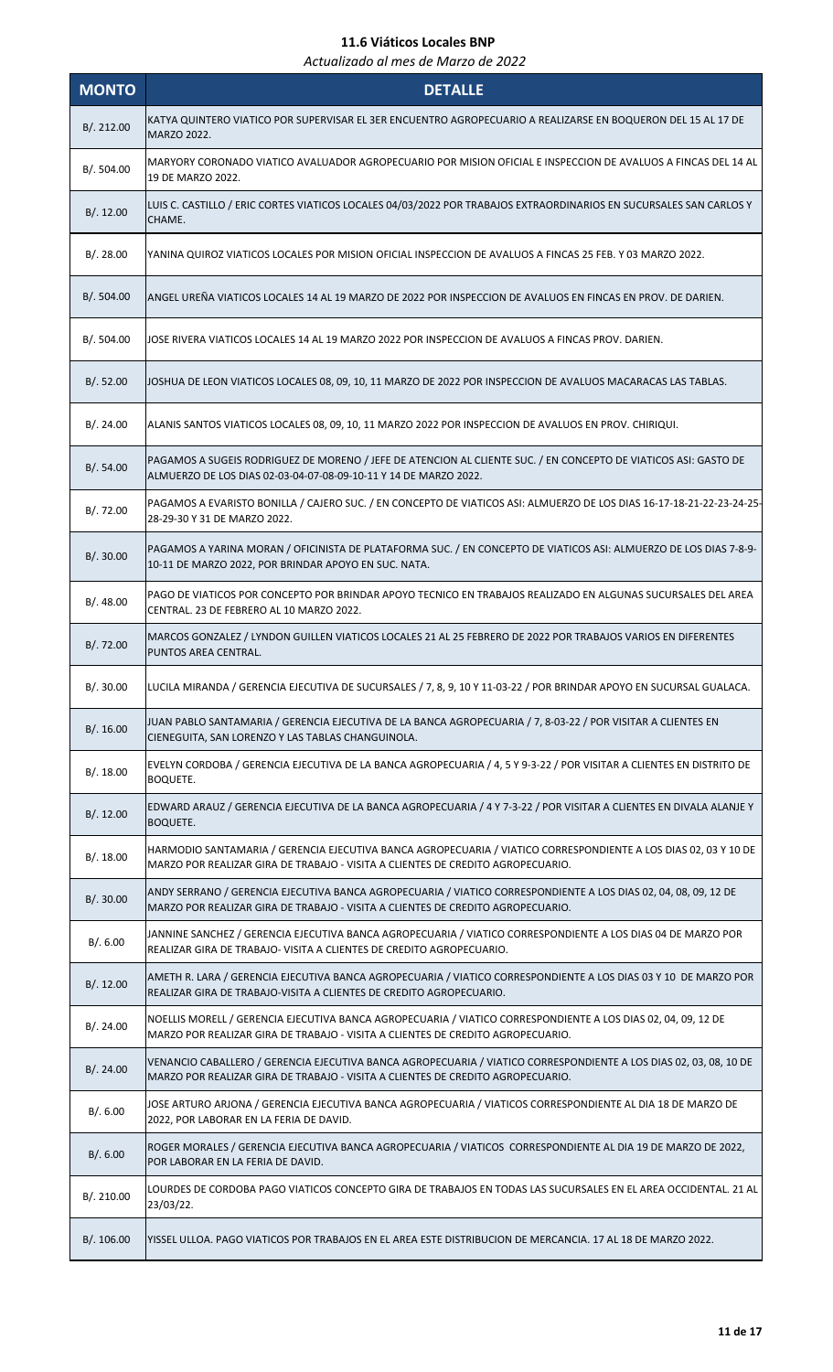| <b>MONTO</b> | <b>DETALLE</b>                                                                                                                                                                                       |
|--------------|------------------------------------------------------------------------------------------------------------------------------------------------------------------------------------------------------|
| B/.212.00    | KATYA QUINTERO VIATICO POR SUPERVISAR EL 3ER ENCUENTRO AGROPECUARIO A REALIZARSE EN BOQUERON DEL 15 AL 17 DE<br>MARZO 2022.                                                                          |
| B/. 504.00   | MARYORY CORONADO VIATICO AVALUADOR AGROPECUARIO POR MISION OFICIAL E INSPECCION DE AVALUOS A FINCAS DEL 14 AL<br>19 DE MARZO 2022.                                                                   |
| B/.12.00     | LUIS C. CASTILLO / ERIC CORTES VIATICOS LOCALES 04/03/2022 POR TRABAJOS EXTRAORDINARIOS EN SUCURSALES SAN CARLOS Y<br>CHAME.                                                                         |
| B/.28.00     | YANINA QUIROZ VIATICOS LOCALES POR MISION OFICIAL INSPECCION DE AVALUOS A FINCAS 25 FEB. Y 03 MARZO 2022.                                                                                            |
| B/.504.00    | ANGEL UREÑA VIATICOS LOCALES 14 AL 19 MARZO DE 2022 POR INSPECCION DE AVALUOS EN FINCAS EN PROV. DE DARIEN.                                                                                          |
| B/. 504.00   | JOSE RIVERA VIATICOS LOCALES 14 AL 19 MARZO 2022 POR INSPECCION DE AVALUOS A FINCAS PROV. DARIEN.                                                                                                    |
| B/.52.00     | JOSHUA DE LEON VIATICOS LOCALES 08, 09, 10, 11 MARZO DE 2022 POR INSPECCION DE AVALUOS MACARACAS LAS TABLAS.                                                                                         |
| B/.24.00     | ALANIS SANTOS VIATICOS LOCALES 08, 09, 10, 11 MARZO 2022 POR INSPECCION DE AVALUOS EN PROV. CHIRIQUI.                                                                                                |
| B/.54.00     | PAGAMOS A SUGEIS RODRIGUEZ DE MORENO / JEFE DE ATENCION AL CLIENTE SUC. / EN CONCEPTO DE VIATICOS ASI: GASTO DE<br>ALMUERZO DE LOS DIAS 02-03-04-07-08-09-10-11 Y 14 DE MARZO 2022.                  |
| B/. 72.00    | PAGAMOS A EVARISTO BONILLA / CAJERO SUC. / EN CONCEPTO DE VIATICOS ASI: ALMUERZO DE LOS DIAS 16-17-18-21-22-23-24-25-<br>28-29-30 Y 31 DE MARZO 2022.                                                |
| B/.30.00     | PAGAMOS A YARINA MORAN / OFICINISTA DE PLATAFORMA SUC. / EN CONCEPTO DE VIATICOS ASI: ALMUERZO DE LOS DIAS 7-8-9-<br>10-11 DE MARZO 2022, POR BRINDAR APOYO EN SUC. NATA.                            |
| B/.48.00     | PAGO DE VIATICOS POR CONCEPTO POR BRINDAR APOYO TECNICO EN TRABAJOS REALIZADO EN ALGUNAS SUCURSALES DEL AREA<br>CENTRAL. 23 DE FEBRERO AL 10 MARZO 2022.                                             |
| B/.72.00     | MARCOS GONZALEZ / LYNDON GUILLEN VIATICOS LOCALES 21 AL 25 FEBRERO DE 2022 POR TRABAJOS VARIOS EN DIFERENTES<br>PUNTOS AREA CENTRAL.                                                                 |
| B/.30.00     | LUCILA MIRANDA / GERENCIA EJECUTIVA DE SUCURSALES / 7, 8, 9, 10 Y 11-03-22 / POR BRINDAR APOYO EN SUCURSAL GUALACA.                                                                                  |
| B/.16.00     | JUAN PABLO SANTAMARIA / GERENCIA EJECUTIVA DE LA BANCA AGROPECUARIA / 7, 8-03-22 / POR VISITAR A CLIENTES EN<br>CIENEGUITA, SAN LORENZO Y LAS TABLAS CHANGUINOLA.                                    |
| B/.18.00     | EVELYN CORDOBA / GERENCIA EJECUTIVA DE LA BANCA AGROPECUARIA / 4, 5 Y 9-3-22 / POR VISITAR A CLIENTES EN DISTRITO DE<br><b>BOQUETE.</b>                                                              |
| B/. 12.00    | EDWARD ARAUZ / GERENCIA EJECUTIVA DE LA BANCA AGROPECUARIA / 4 Y 7-3-22 / POR VISITAR A CLIENTES EN DIVALA ALANJE Y<br><b>BOQUETE.</b>                                                               |
| B/.18.00     | HARMODIO SANTAMARIA / GERENCIA EJECUTIVA BANCA AGROPECUARIA / VIATICO CORRESPONDIENTE A LOS DIAS 02, 03 Y 10 DE<br>MARZO POR REALIZAR GIRA DE TRABAJO - VISITA A CLIENTES DE CREDITO AGROPECUARIO.   |
| B/.30.00     | ANDY SERRANO / GERENCIA EJECUTIVA BANCA AGROPECUARIA / VIATICO CORRESPONDIENTE A LOS DIAS 02, 04, 08, 09, 12 DE<br>MARZO POR REALIZAR GIRA DE TRABAJO - VISITA A CLIENTES DE CREDITO AGROPECUARIO.   |
| B/.6.00      | JANNINE SANCHEZ / GERENCIA EJECUTIVA BANCA AGROPECUARIA / VIATICO CORRESPONDIENTE A LOS DIAS 04 DE MARZO POR<br>REALIZAR GIRA DE TRABAJO- VISITA A CLIENTES DE CREDITO AGROPECUARIO.                 |
| B/.12.00     | AMETH R. LARA / GERENCIA EJECUTIVA BANCA AGROPECUARIA / VIATICO CORRESPONDIENTE A LOS DIAS 03 Y 10 DE MARZO POR<br>REALIZAR GIRA DE TRABAJO-VISITA A CLIENTES DE CREDITO AGROPECUARIO.               |
| B/.24.00     | NOELLIS MORELL / GERENCIA EJECUTIVA BANCA AGROPECUARIA / VIATICO CORRESPONDIENTE A LOS DIAS 02, 04, 09, 12 DE<br>MARZO POR REALIZAR GIRA DE TRABAJO - VISITA A CLIENTES DE CREDITO AGROPECUARIO.     |
| B/.24.00     | VENANCIO CABALLERO / GERENCIA EJECUTIVA BANCA AGROPECUARIA / VIATICO CORRESPONDIENTE A LOS DIAS 02, 03, 08, 10 DE<br>MARZO POR REALIZAR GIRA DE TRABAJO - VISITA A CLIENTES DE CREDITO AGROPECUARIO. |
| B/.6.00      | JOSE ARTURO ARJONA / GERENCIA EJECUTIVA BANCA AGROPECUARIA / VIATICOS CORRESPONDIENTE AL DIA 18 DE MARZO DE<br>2022, POR LABORAR EN LA FERIA DE DAVID.                                               |
| B/.6.00      | ROGER MORALES / GERENCIA EJECUTIVA BANCA AGROPECUARIA / VIATICOS CORRESPONDIENTE AL DIA 19 DE MARZO DE 2022,<br>POR LABORAR EN LA FERIA DE DAVID.                                                    |
| B/. 210.00   | LOURDES DE CORDOBA PAGO VIATICOS CONCEPTO GIRA DE TRABAJOS EN TODAS LAS SUCURSALES EN EL AREA OCCIDENTAL. 21 AL<br>23/03/22.                                                                         |
| B/.106.00    | YISSEL ULLOA. PAGO VIATICOS POR TRABAJOS EN EL AREA ESTE DISTRIBUCION DE MERCANCIA. 17 AL 18 DE MARZO 2022.                                                                                          |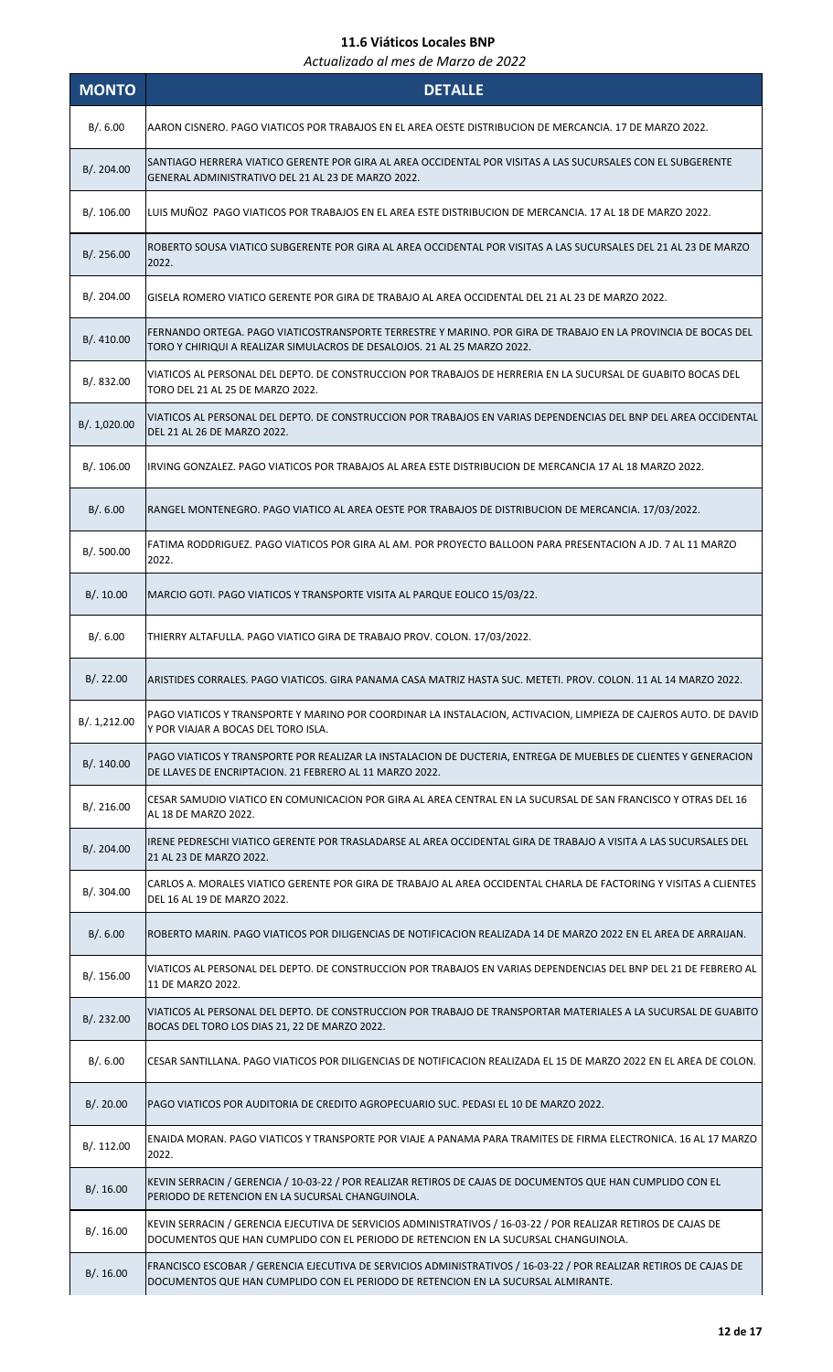| <b>MONTO</b> | <b>DETALLE</b>                                                                                                                                                                                         |
|--------------|--------------------------------------------------------------------------------------------------------------------------------------------------------------------------------------------------------|
| B/. 6.00     | AARON CISNERO. PAGO VIATICOS POR TRABAJOS EN EL AREA OESTE DISTRIBUCION DE MERCANCIA. 17 DE MARZO 2022.                                                                                                |
| B/.204.00    | SANTIAGO HERRERA VIATICO GERENTE POR GIRA AL AREA OCCIDENTAL POR VISITAS A LAS SUCURSALES CON EL SUBGERENTE<br>GENERAL ADMINISTRATIVO DEL 21 AL 23 DE MARZO 2022.                                      |
| B/. 106.00   | LUIS MUÑOZ PAGO VIATICOS POR TRABAJOS EN EL AREA ESTE DISTRIBUCION DE MERCANCIA. 17 AL 18 DE MARZO 2022.                                                                                               |
| B/.256.00    | ROBERTO SOUSA VIATICO SUBGERENTE POR GIRA AL AREA OCCIDENTAL POR VISITAS A LAS SUCURSALES DEL 21 AL 23 DE MARZO<br>2022.                                                                               |
| B/. 204.00   | GISELA ROMERO VIATICO GERENTE POR GIRA DE TRABAJO AL AREA OCCIDENTAL DEL 21 AL 23 DE MARZO 2022.                                                                                                       |
| B/. 410.00   | FERNANDO ORTEGA. PAGO VIATICOSTRANSPORTE TERRESTRE Y MARINO. POR GIRA DE TRABAJO EN LA PROVINCIA DE BOCAS DEL<br>TORO Y CHIRIQUI A REALIZAR SIMULACROS DE DESALOJOS. 21 AL 25 MARZO 2022.              |
| B/. 832.00   | VIATICOS AL PERSONAL DEL DEPTO. DE CONSTRUCCION POR TRABAJOS DE HERRERIA EN LA SUCURSAL DE GUABITO BOCAS DEL<br>TORO DEL 21 AL 25 DE MARZO 2022.                                                       |
| B/. 1,020.00 | VIATICOS AL PERSONAL DEL DEPTO. DE CONSTRUCCION POR TRABAJOS EN VARIAS DEPENDENCIAS DEL BNP DEL AREA OCCIDENTAL<br>DEL 21 AL 26 DE MARZO 2022.                                                         |
| B/.106.00    | IRVING GONZALEZ. PAGO VIATICOS POR TRABAJOS AL AREA ESTE DISTRIBUCION DE MERCANCIA 17 AL 18 MARZO 2022.                                                                                                |
| B/0.6.00     | RANGEL MONTENEGRO. PAGO VIATICO AL AREA OESTE POR TRABAJOS DE DISTRIBUCION DE MERCANCIA. 17/03/2022.                                                                                                   |
| B/. 500.00   | FATIMA RODDRIGUEZ. PAGO VIATICOS POR GIRA AL AM. POR PROYECTO BALLOON PARA PRESENTACION A JD. 7 AL 11 MARZO<br>2022.                                                                                   |
| B/.10.00     | MARCIO GOTI. PAGO VIATICOS Y TRANSPORTE VISITA AL PARQUE EOLICO 15/03/22.                                                                                                                              |
| B/.6.00      | THIERRY ALTAFULLA. PAGO VIATICO GIRA DE TRABAJO PROV. COLON. 17/03/2022.                                                                                                                               |
| B/.22.00     | ARISTIDES CORRALES. PAGO VIATICOS. GIRA PANAMA CASA MATRIZ HASTA SUC. METETI. PROV. COLON. 11 AL 14 MARZO 2022.                                                                                        |
| B/.1,212.00  | PAGO VIATICOS Y TRANSPORTE Y MARINO POR COORDINAR LA INSTALACION, ACTIVACION, LIMPIEZA DE CAJEROS AUTO. DE DAVID<br>Y POR VIAJAR A BOCAS DEL TORO ISLA.                                                |
| B/.140.00    | PAGO VIATICOS Y TRANSPORTE POR REALIZAR LA INSTALACION DE DUCTERIA, ENTREGA DE MUEBLES DE CLIENTES Y GENERACION<br>DE LLAVES DE ENCRIPTACION. 21 FEBRERO AL 11 MARZO 2022.                             |
| B/.216.00    | CESAR SAMUDIO VIATICO EN COMUNICACION POR GIRA AL AREA CENTRAL EN LA SUCURSAL DE SAN FRANCISCO Y OTRAS DEL 16<br>AL 18 DE MARZO 2022.                                                                  |
| B/.204.00    | IRENE PEDRESCHI VIATICO GERENTE POR TRASLADARSE AL AREA OCCIDENTAL GIRA DE TRABAJO A VISITA A LAS SUCURSALES DEL<br>21 AL 23 DE MARZO 2022.                                                            |
| B/. 304.00   | CARLOS A. MORALES VIATICO GERENTE POR GIRA DE TRABAJO AL AREA OCCIDENTAL CHARLA DE FACTORING Y VISITAS A CLIENTES<br>DEL 16 AL 19 DE MARZO 2022.                                                       |
| B/.6.00      | ROBERTO MARIN. PAGO VIATICOS POR DILIGENCIAS DE NOTIFICACION REALIZADA 14 DE MARZO 2022 EN EL AREA DE ARRAIJAN.                                                                                        |
| B/.156.00    | VIATICOS AL PERSONAL DEL DEPTO. DE CONSTRUCCION POR TRABAJOS EN VARIAS DEPENDENCIAS DEL BNP DEL 21 DE FEBRERO AL<br>11 DE MARZO 2022.                                                                  |
| B/. 232.00   | VIATICOS AL PERSONAL DEL DEPTO. DE CONSTRUCCION POR TRABAJO DE TRANSPORTAR MATERIALES A LA SUCURSAL DE GUABITO<br>BOCAS DEL TORO LOS DIAS 21, 22 DE MARZO 2022.                                        |
| B/.6.00      | CESAR SANTILLANA. PAGO VIATICOS POR DILIGENCIAS DE NOTIFICACION REALIZADA EL 15 DE MARZO 2022 EN EL AREA DE COLON.                                                                                     |
| B/.20.00     | PAGO VIATICOS POR AUDITORIA DE CREDITO AGROPECUARIO SUC. PEDASI EL 10 DE MARZO 2022.                                                                                                                   |
| B/. 112.00   | ENAIDA MORAN. PAGO VIATICOS Y TRANSPORTE POR VIAJE A PANAMA PARA TRAMITES DE FIRMA ELECTRONICA. 16 AL 17 MARZO<br>2022.                                                                                |
| B/.16.00     | KEVIN SERRACIN / GERENCIA / 10-03-22 / POR REALIZAR RETIROS DE CAJAS DE DOCUMENTOS QUE HAN CUMPLIDO CON EL<br>PERIODO DE RETENCION EN LA SUCURSAL CHANGUINOLA.                                         |
| B/.16.00     | KEVIN SERRACIN / GERENCIA EJECUTIVA DE SERVICIOS ADMINISTRATIVOS / 16-03-22 / POR REALIZAR RETIROS DE CAJAS DE<br>DOCUMENTOS QUE HAN CUMPLIDO CON EL PERIODO DE RETENCION EN LA SUCURSAL CHANGUINOLA.  |
| B/.16.00     | FRANCISCO ESCOBAR / GERENCIA EJECUTIVA DE SERVICIOS ADMINISTRATIVOS / 16-03-22 / POR REALIZAR RETIROS DE CAJAS DE<br>DOCUMENTOS QUE HAN CUMPLIDO CON EL PERIODO DE RETENCION EN LA SUCURSAL ALMIRANTE. |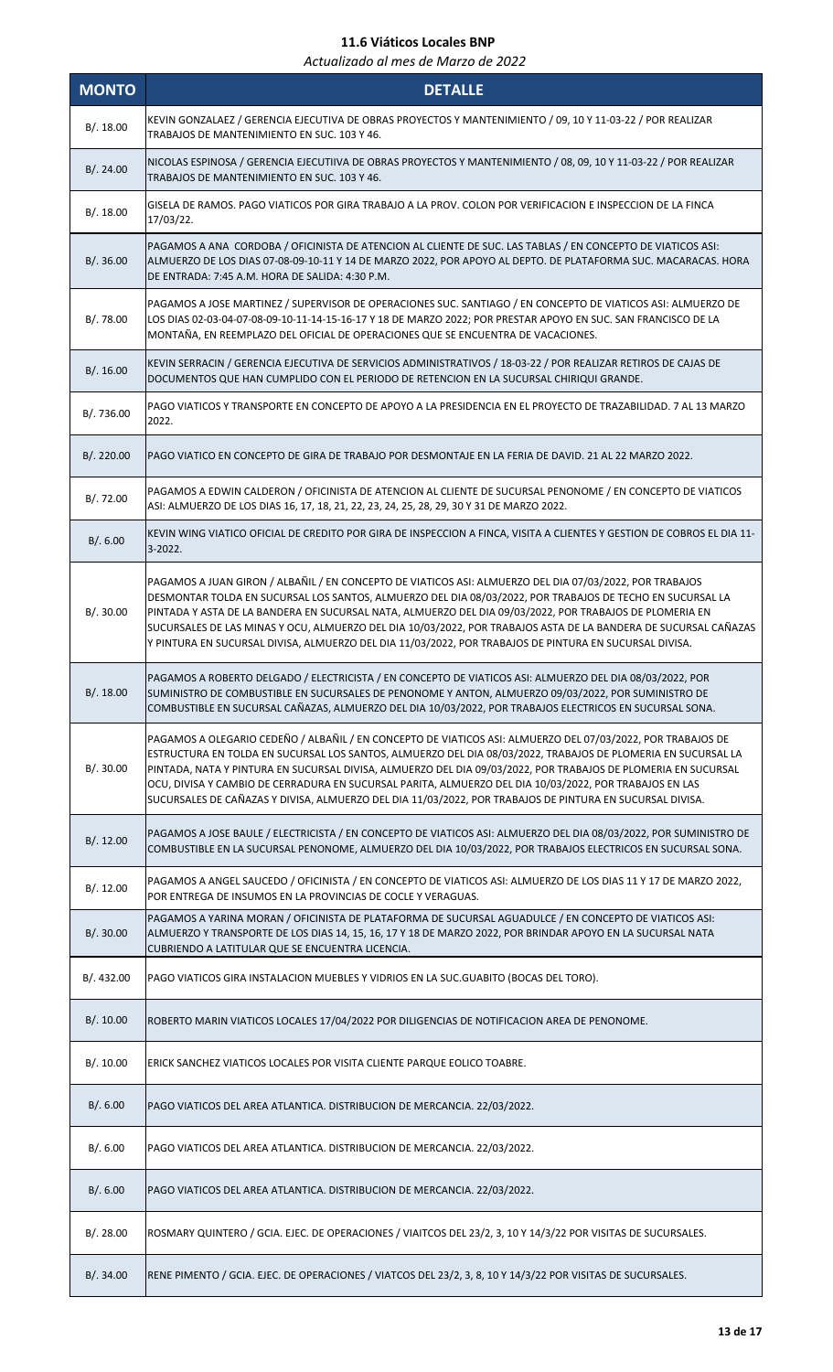| <b>MONTO</b> | <b>DETALLE</b>                                                                                                                                                                                                                                                                                                                                                                                                                                                                                                                                                     |
|--------------|--------------------------------------------------------------------------------------------------------------------------------------------------------------------------------------------------------------------------------------------------------------------------------------------------------------------------------------------------------------------------------------------------------------------------------------------------------------------------------------------------------------------------------------------------------------------|
| B/.18.00     | KEVIN GONZALAEZ / GERENCIA EJECUTIVA DE OBRAS PROYECTOS Y MANTENIMIENTO / 09, 10 Y 11-03-22 / POR REALIZAR<br>TRABAJOS DE MANTENIMIENTO EN SUC. 103 Y 46.                                                                                                                                                                                                                                                                                                                                                                                                          |
| B/.24.00     | NICOLAS ESPINOSA / GERENCIA EJECUTIIVA DE OBRAS PROYECTOS Y MANTENIMIENTO / 08, 09, 10 Y 11-03-22 / POR REALIZAR<br>TRABAJOS DE MANTENIMIENTO EN SUC. 103 Y 46.                                                                                                                                                                                                                                                                                                                                                                                                    |
| B/. 18.00    | GISELA DE RAMOS. PAGO VIATICOS POR GIRA TRABAJO A LA PROV. COLON POR VERIFICACION E INSPECCION DE LA FINCA<br>17/03/22.                                                                                                                                                                                                                                                                                                                                                                                                                                            |
| B/.36.00     | PAGAMOS A ANA CORDOBA / OFICINISTA DE ATENCION AL CLIENTE DE SUC. LAS TABLAS / EN CONCEPTO DE VIATICOS ASI:<br>ALMUERZO DE LOS DIAS 07-08-09-10-11 Y 14 DE MARZO 2022, POR APOYO AL DEPTO. DE PLATAFORMA SUC. MACARACAS. HORA<br>DE ENTRADA: 7:45 A.M. HORA DE SALIDA: 4:30 P.M.                                                                                                                                                                                                                                                                                   |
| B/. 78.00    | PAGAMOS A JOSE MARTINEZ / SUPERVISOR DE OPERACIONES SUC. SANTIAGO / EN CONCEPTO DE VIATICOS ASI: ALMUERZO DE<br>LOS DIAS 02-03-04-07-08-09-10-11-14-15-16-17 Y 18 DE MARZO 2022; POR PRESTAR APOYO EN SUC. SAN FRANCISCO DE LA<br>MONTAÑA, EN REEMPLAZO DEL OFICIAL DE OPERACIONES QUE SE ENCUENTRA DE VACACIONES.                                                                                                                                                                                                                                                 |
| B/.16.00     | KEVIN SERRACIN / GERENCIA EJECUTIVA DE SERVICIOS ADMINISTRATIVOS / 18-03-22 / POR REALIZAR RETIROS DE CAJAS DE<br>DOCUMENTOS QUE HAN CUMPLIDO CON EL PERIODO DE RETENCION EN LA SUCURSAL CHIRIQUI GRANDE.                                                                                                                                                                                                                                                                                                                                                          |
| B/. 736.00   | PAGO VIATICOS Y TRANSPORTE EN CONCEPTO DE APOYO A LA PRESIDENCIA EN EL PROYECTO DE TRAZABILIDAD. 7 AL 13 MARZO<br>2022.                                                                                                                                                                                                                                                                                                                                                                                                                                            |
| B/. 220.00   | PAGO VIATICO EN CONCEPTO DE GIRA DE TRABAJO POR DESMONTAJE EN LA FERIA DE DAVID. 21 AL 22 MARZO 2022.                                                                                                                                                                                                                                                                                                                                                                                                                                                              |
| B/.72.00     | PAGAMOS A EDWIN CALDERON / OFICINISTA DE ATENCION AL CLIENTE DE SUCURSAL PENONOME / EN CONCEPTO DE VIATICOS<br>ASI: ALMUERZO DE LOS DIAS 16, 17, 18, 21, 22, 23, 24, 25, 28, 29, 30 Y 31 DE MARZO 2022.                                                                                                                                                                                                                                                                                                                                                            |
| B/.6.00      | KEVIN WING VIATICO OFICIAL DE CREDITO POR GIRA DE INSPECCION A FINCA, VISITA A CLIENTES Y GESTION DE COBROS EL DIA 11-<br>3-2022.                                                                                                                                                                                                                                                                                                                                                                                                                                  |
| B/.30.00     | PAGAMOS A JUAN GIRON / ALBAÑIL / EN CONCEPTO DE VIATICOS ASI: ALMUERZO DEL DIA 07/03/2022, POR TRABAJOS<br>DESMONTAR TOLDA EN SUCURSAL LOS SANTOS, ALMUERZO DEL DIA 08/03/2022, POR TRABAJOS DE TECHO EN SUCURSAL LA<br>PINTADA Y ASTA DE LA BANDERA EN SUCURSAL NATA, ALMUERZO DEL DIA 09/03/2022, POR TRABAJOS DE PLOMERIA EN<br>SUCURSALES DE LAS MINAS Y OCU, ALMUERZO DEL DIA 10/03/2022, POR TRABAJOS ASTA DE LA BANDERA DE SUCURSAL CAÑAZAS<br>Y PINTURA EN SUCURSAL DIVISA, ALMUERZO DEL DIA 11/03/2022, POR TRABAJOS DE PINTURA EN SUCURSAL DIVISA.       |
| B/.18.00     | PAGAMOS A ROBERTO DELGADO / ELECTRICISTA / EN CONCEPTO DE VIATICOS ASI: ALMUERZO DEL DIA 08/03/2022, POR<br>SUMINISTRO DE COMBUSTIBLE EN SUCURSALES DE PENONOME Y ANTON, ALMUERZO 09/03/2022, POR SUMINISTRO DE<br>COMBUSTIBLE EN SUCURSAL CAÑAZAS, ALMUERZO DEL DIA 10/03/2022, POR TRABAJOS ELECTRICOS EN SUCURSAL SONA.                                                                                                                                                                                                                                         |
| B/.30.00     | PAGAMOS A OLEGARIO CEDEÑO / ALBAÑIL / EN CONCEPTO DE VIATICOS ASI: ALMUERZO DEL 07/03/2022, POR TRABAJOS DE<br>ESTRUCTURA EN TOLDA EN SUCURSAL LOS SANTOS, ALMUERZO DEL DIA 08/03/2022, TRABAJOS DE PLOMERIA EN SUCURSAL LA<br>PINTADA, NATA Y PINTURA EN SUCURSAL DIVISA, ALMUERZO DEL DIA 09/03/2022, POR TRABAJOS DE PLOMERIA EN SUCURSAL<br>OCU, DIVISA Y CAMBIO DE CERRADURA EN SUCURSAL PARITA, ALMUERZO DEL DIA 10/03/2022, POR TRABAJOS EN LAS<br>SUCURSALES DE CAÑAZAS Y DIVISA, ALMUERZO DEL DIA 11/03/2022, POR TRABAJOS DE PINTURA EN SUCURSAL DIVISA. |
| B/.12.00     | PAGAMOS A JOSE BAULE / ELECTRICISTA / EN CONCEPTO DE VIATICOS ASI: ALMUERZO DEL DIA 08/03/2022, POR SUMINISTRO DE<br>COMBUSTIBLE EN LA SUCURSAL PENONOME, ALMUERZO DEL DIA 10/03/2022, POR TRABAJOS ELECTRICOS EN SUCURSAL SONA.                                                                                                                                                                                                                                                                                                                                   |
| B/.12.00     | PAGAMOS A ANGEL SAUCEDO / OFICINISTA / EN CONCEPTO DE VIATICOS ASI: ALMUERZO DE LOS DIAS 11 Y 17 DE MARZO 2022,<br>POR ENTREGA DE INSUMOS EN LA PROVINCIAS DE COCLE Y VERAGUAS.                                                                                                                                                                                                                                                                                                                                                                                    |
| B/.30.00     | PAGAMOS A YARINA MORAN / OFICINISTA DE PLATAFORMA DE SUCURSAL AGUADULCE / EN CONCEPTO DE VIATICOS ASI:<br>ALMUERZO Y TRANSPORTE DE LOS DIAS 14, 15, 16, 17 Y 18 DE MARZO 2022, POR BRINDAR APOYO EN LA SUCURSAL NATA<br>CUBRIENDO A LATITULAR QUE SE ENCUENTRA LICENCIA.                                                                                                                                                                                                                                                                                           |
| B/. 432.00   | PAGO VIATICOS GIRA INSTALACION MUEBLES Y VIDRIOS EN LA SUC.GUABITO (BOCAS DEL TORO).                                                                                                                                                                                                                                                                                                                                                                                                                                                                               |
| B/.10.00     | ROBERTO MARIN VIATICOS LOCALES 17/04/2022 POR DILIGENCIAS DE NOTIFICACION AREA DE PENONOME.                                                                                                                                                                                                                                                                                                                                                                                                                                                                        |
| B/.10.00     | ERICK SANCHEZ VIATICOS LOCALES POR VISITA CLIENTE PARQUE EOLICO TOABRE.                                                                                                                                                                                                                                                                                                                                                                                                                                                                                            |
| B/.6.00      | PAGO VIATICOS DEL AREA ATLANTICA. DISTRIBUCION DE MERCANCIA. 22/03/2022.                                                                                                                                                                                                                                                                                                                                                                                                                                                                                           |
| B/.6.00      | PAGO VIATICOS DEL AREA ATLANTICA. DISTRIBUCION DE MERCANCIA. 22/03/2022.                                                                                                                                                                                                                                                                                                                                                                                                                                                                                           |
| B/.6.00      | PAGO VIATICOS DEL AREA ATLANTICA. DISTRIBUCION DE MERCANCIA. 22/03/2022.                                                                                                                                                                                                                                                                                                                                                                                                                                                                                           |
| B/.28.00     | ROSMARY QUINTERO / GCIA. EJEC. DE OPERACIONES / VIAITCOS DEL 23/2, 3, 10 Y 14/3/22 POR VISITAS DE SUCURSALES.                                                                                                                                                                                                                                                                                                                                                                                                                                                      |
| B/.34.00     | RENE PIMENTO / GCIA. EJEC. DE OPERACIONES / VIATCOS DEL 23/2, 3, 8, 10 Y 14/3/22 POR VISITAS DE SUCURSALES.                                                                                                                                                                                                                                                                                                                                                                                                                                                        |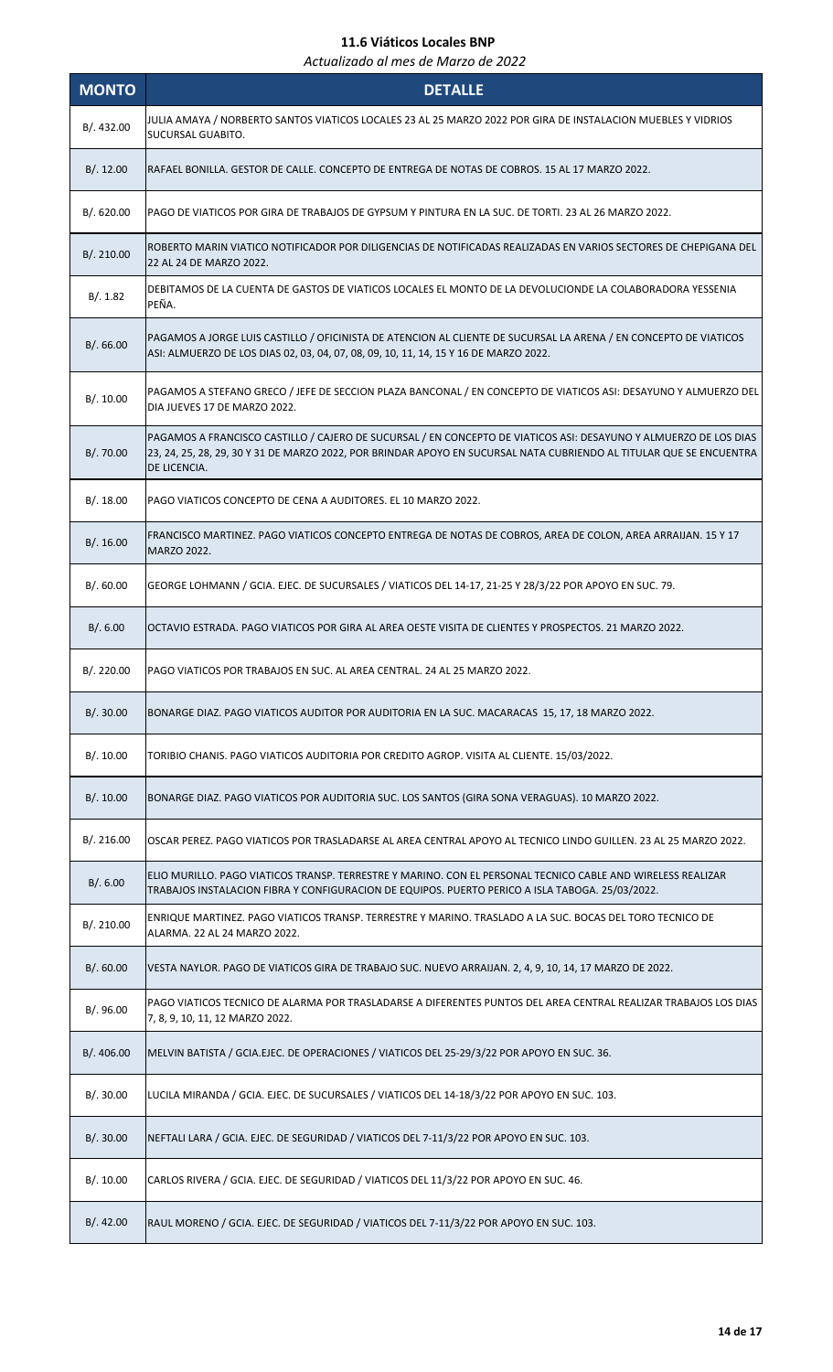| <b>MONTO</b> | <b>DETALLE</b>                                                                                                                                                                                                                                          |
|--------------|---------------------------------------------------------------------------------------------------------------------------------------------------------------------------------------------------------------------------------------------------------|
| B/.432.00    | JULIA AMAYA / NORBERTO SANTOS VIATICOS LOCALES 23 AL 25 MARZO 2022 POR GIRA DE INSTALACION MUEBLES Y VIDRIOS<br>SUCURSAL GUABITO.                                                                                                                       |
| B/.12.00     | RAFAEL BONILLA. GESTOR DE CALLE. CONCEPTO DE ENTREGA DE NOTAS DE COBROS. 15 AL 17 MARZO 2022.                                                                                                                                                           |
| B/0.620.00   | PAGO DE VIATICOS POR GIRA DE TRABAJOS DE GYPSUM Y PINTURA EN LA SUC. DE TORTI. 23 AL 26 MARZO 2022.                                                                                                                                                     |
| B/. 210.00   | ROBERTO MARIN VIATICO NOTIFICADOR POR DILIGENCIAS DE NOTIFICADAS REALIZADAS EN VARIOS SECTORES DE CHEPIGANA DEL<br>22 AL 24 DE MARZO 2022.                                                                                                              |
| B/. 1.82     | DEBITAMOS DE LA CUENTA DE GASTOS DE VIATICOS LOCALES EL MONTO DE LA DEVOLUCIONDE LA COLABORADORA YESSENIA<br>PEÑA.                                                                                                                                      |
| B/0.66.00    | PAGAMOS A JORGE LUIS CASTILLO / OFICINISTA DE ATENCION AL CLIENTE DE SUCURSAL LA ARENA / EN CONCEPTO DE VIATICOS<br>ASI: ALMUERZO DE LOS DIAS 02, 03, 04, 07, 08, 09, 10, 11, 14, 15 Y 16 DE MARZO 2022.                                                |
| B/.10.00     | PAGAMOS A STEFANO GRECO / JEFE DE SECCION PLAZA BANCONAL / EN CONCEPTO DE VIATICOS ASI: DESAYUNO Y ALMUERZO DEL<br>DIA JUEVES 17 DE MARZO 2022.                                                                                                         |
| B/.70.00     | PAGAMOS A FRANCISCO CASTILLO / CAJERO DE SUCURSAL / EN CONCEPTO DE VIATICOS ASI: DESAYUNO Y ALMUERZO DE LOS DIAS<br>23, 24, 25, 28, 29, 30 Y 31 DE MARZO 2022, POR BRINDAR APOYO EN SUCURSAL NATA CUBRIENDO AL TITULAR QUE SE ENCUENTRA<br>DE LICENCIA. |
| B/.18.00     | PAGO VIATICOS CONCEPTO DE CENA A AUDITORES. EL 10 MARZO 2022.                                                                                                                                                                                           |
| B/.16.00     | FRANCISCO MARTINEZ. PAGO VIATICOS CONCEPTO ENTREGA DE NOTAS DE COBROS, AREA DE COLON, AREA ARRAIJAN. 15 Y 17<br><b>MARZO 2022.</b>                                                                                                                      |
| B/.60.00     | GEORGE LOHMANN / GCIA. EJEC. DE SUCURSALES / VIATICOS DEL 14-17, 21-25 Y 28/3/22 POR APOYO EN SUC. 79.                                                                                                                                                  |
| B/.6.00      | OCTAVIO ESTRADA. PAGO VIATICOS POR GIRA AL AREA OESTE VISITA DE CLIENTES Y PROSPECTOS. 21 MARZO 2022.                                                                                                                                                   |
| B/.220.00    | PAGO VIATICOS POR TRABAJOS EN SUC. AL AREA CENTRAL, 24 AL 25 MARZO 2022.                                                                                                                                                                                |
| B/.30.00     | BONARGE DIAZ. PAGO VIATICOS AUDITOR POR AUDITORIA EN LA SUC. MACARACAS 15, 17, 18 MARZO 2022.                                                                                                                                                           |
| B/.10.00     | TORIBIO CHANIS. PAGO VIATICOS AUDITORIA POR CREDITO AGROP. VISITA AL CLIENTE. 15/03/2022.                                                                                                                                                               |
| B/.10.00     | BONARGE DIAZ. PAGO VIATICOS POR AUDITORIA SUC. LOS SANTOS (GIRA SONA VERAGUAS). 10 MARZO 2022.                                                                                                                                                          |
| B/.216.00    | OSCAR PEREZ. PAGO VIATICOS POR TRASLADARSE AL AREA CENTRAL APOYO AL TECNICO LINDO GUILLEN. 23 AL 25 MARZO 2022.                                                                                                                                         |
| B/.6.00      | ELIO MURILLO. PAGO VIATICOS TRANSP. TERRESTRE Y MARINO. CON EL PERSONAL TECNICO CABLE AND WIRELESS REALIZAR<br>TRABAJOS INSTALACION FIBRA Y CONFIGURACION DE EQUIPOS. PUERTO PERICO A ISLA TABOGA. 25/03/2022.                                          |
| B/.210.00    | ENRIQUE MARTINEZ. PAGO VIATICOS TRANSP. TERRESTRE Y MARINO. TRASLADO A LA SUC. BOCAS DEL TORO TECNICO DE<br>ALARMA, 22 AL 24 MARZO 2022.                                                                                                                |
| B/.60.00     | VESTA NAYLOR. PAGO DE VIATICOS GIRA DE TRABAJO SUC. NUEVO ARRAIJAN. 2, 4, 9, 10, 14, 17 MARZO DE 2022.                                                                                                                                                  |
| B/.96.00     | PAGO VIATICOS TECNICO DE ALARMA POR TRASLADARSE A DIFERENTES PUNTOS DEL AREA CENTRAL REALIZAR TRABAJOS LOS DIAS<br>7, 8, 9, 10, 11, 12 MARZO 2022.                                                                                                      |
| B/.406.00    | MELVIN BATISTA / GCIA.EJEC. DE OPERACIONES / VIATICOS DEL 25-29/3/22 POR APOYO EN SUC. 36.                                                                                                                                                              |
| B/.30.00     | LUCILA MIRANDA / GCIA. EJEC. DE SUCURSALES / VIATICOS DEL 14-18/3/22 POR APOYO EN SUC. 103.                                                                                                                                                             |
| B/.30.00     | NEFTALI LARA / GCIA. EJEC. DE SEGURIDAD / VIATICOS DEL 7-11/3/22 POR APOYO EN SUC. 103.                                                                                                                                                                 |
| B/.10.00     | CARLOS RIVERA / GCIA. EJEC. DE SEGURIDAD / VIATICOS DEL 11/3/22 POR APOYO EN SUC. 46.                                                                                                                                                                   |
| B/.42.00     | RAUL MORENO / GCIA. EJEC. DE SEGURIDAD / VIATICOS DEL 7-11/3/22 POR APOYO EN SUC. 103.                                                                                                                                                                  |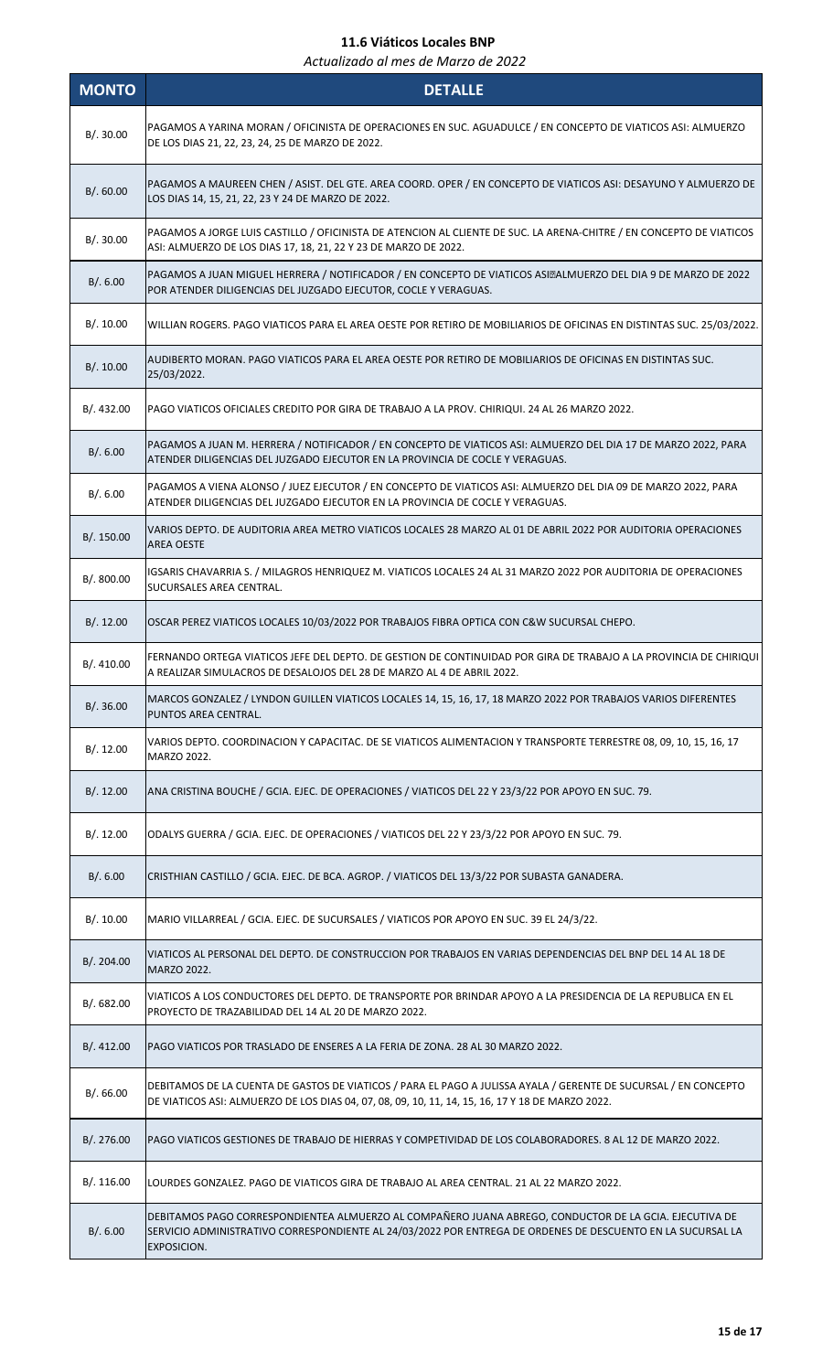| <b>MONTO</b> | <b>DETALLE</b>                                                                                                                                                                                                                       |
|--------------|--------------------------------------------------------------------------------------------------------------------------------------------------------------------------------------------------------------------------------------|
| B/.30.00     | PAGAMOS A YARINA MORAN / OFICINISTA DE OPERACIONES EN SUC. AGUADULCE / EN CONCEPTO DE VIATICOS ASI: ALMUERZO<br>DE LOS DIAS 21, 22, 23, 24, 25 DE MARZO DE 2022.                                                                     |
| B/.60.00     | PAGAMOS A MAUREEN CHEN / ASIST. DEL GTE. AREA COORD. OPER / EN CONCEPTO DE VIATICOS ASI: DESAYUNO Y ALMUERZO DE<br>LOS DIAS 14, 15, 21, 22, 23 Y 24 DE MARZO DE 2022.                                                                |
| B/.30.00     | PAGAMOS A JORGE LUIS CASTILLO / OFICINISTA DE ATENCION AL CLIENTE DE SUC. LA ARENA-CHITRE / EN CONCEPTO DE VIATICOS<br>ASI: ALMUERZO DE LOS DIAS 17, 18, 21, 22 Y 23 DE MARZO DE 2022.                                               |
| B/.6.00      | PAGAMOS A JUAN MIGUEL HERRERA / NOTIFICADOR / EN CONCEPTO DE VIATICOS ASI: ALMUERZO DEL DIA 9 DE MARZO DE 2022<br>POR ATENDER DILIGENCIAS DEL JUZGADO EJECUTOR, COCLE Y VERAGUAS.                                                    |
| B/.10.00     | WILLIAN ROGERS. PAGO VIATICOS PARA EL AREA OESTE POR RETIRO DE MOBILIARIOS DE OFICINAS EN DISTINTAS SUC. 25/03/2022.                                                                                                                 |
| B/.10.00     | AUDIBERTO MORAN. PAGO VIATICOS PARA EL AREA OESTE POR RETIRO DE MOBILIARIOS DE OFICINAS EN DISTINTAS SUC.<br>25/03/2022.                                                                                                             |
| B/.432.00    | PAGO VIATICOS OFICIALES CREDITO POR GIRA DE TRABAJO A LA PROV. CHIRIQUI. 24 AL 26 MARZO 2022.                                                                                                                                        |
| B/.6.00      | PAGAMOS A JUAN M. HERRERA / NOTIFICADOR / EN CONCEPTO DE VIATICOS ASI: ALMUERZO DEL DIA 17 DE MARZO 2022, PARA<br>ATENDER DILIGENCIAS DEL JUZGADO EJECUTOR EN LA PROVINCIA DE COCLE Y VERAGUAS.                                      |
| B/.6.00      | PAGAMOS A VIENA ALONSO / JUEZ EJECUTOR / EN CONCEPTO DE VIATICOS ASI: ALMUERZO DEL DIA 09 DE MARZO 2022, PARA<br>ATENDER DILIGENCIAS DEL JUZGADO EJECUTOR EN LA PROVINCIA DE COCLE Y VERAGUAS.                                       |
| B/. 150.00   | VARIOS DEPTO. DE AUDITORIA AREA METRO VIATICOS LOCALES 28 MARZO AL 01 DE ABRIL 2022 POR AUDITORIA OPERACIONES<br><b>AREA OESTE</b>                                                                                                   |
| B/. 800.00   | IGSARIS CHAVARRIA S. / MILAGROS HENRIQUEZ M. VIATICOS LOCALES 24 AL 31 MARZO 2022 POR AUDITORIA DE OPERACIONES<br>SUCURSALES AREA CENTRAL.                                                                                           |
| B/.12.00     | OSCAR PEREZ VIATICOS LOCALES 10/03/2022 POR TRABAJOS FIBRA OPTICA CON C&W SUCURSAL CHEPO.                                                                                                                                            |
| B/. 410.00   | FERNANDO ORTEGA VIATICOS JEFE DEL DEPTO. DE GESTION DE CONTINUIDAD POR GIRA DE TRABAJO A LA PROVINCIA DE CHIRIQUI<br>A REALIZAR SIMULACROS DE DESALOJOS DEL 28 DE MARZO AL 4 DE ABRIL 2022.                                          |
| B/.36.00     | MARCOS GONZALEZ / LYNDON GUILLEN VIATICOS LOCALES 14, 15, 16, 17, 18 MARZO 2022 POR TRABAJOS VARIOS DIFERENTES<br>PUNTOS AREA CENTRAL.                                                                                               |
| B/.12.00     | VARIOS DEPTO. COORDINACION Y CAPACITAC. DE SE VIATICOS ALIMENTACION Y TRANSPORTE TERRESTRE 08, 09, 10, 15, 16, 17<br>MARZO 2022.                                                                                                     |
| B/.12.00     | ANA CRISTINA BOUCHE / GCIA. EJEC. DE OPERACIONES / VIATICOS DEL 22 Y 23/3/22 POR APOYO EN SUC. 79.                                                                                                                                   |
| B/.12.00     | ODALYS GUERRA / GCIA. EJEC. DE OPERACIONES / VIATICOS DEL 22 Y 23/3/22 POR APOYO EN SUC. 79.                                                                                                                                         |
| B/.6.00      | CRISTHIAN CASTILLO / GCIA. EJEC. DE BCA. AGROP. / VIATICOS DEL 13/3/22 POR SUBASTA GANADERA.                                                                                                                                         |
| B/.10.00     | MARIO VILLARREAL / GCIA. EJEC. DE SUCURSALES / VIATICOS POR APOYO EN SUC. 39 EL 24/3/22.                                                                                                                                             |
| B/.204.00    | VIATICOS AL PERSONAL DEL DEPTO. DE CONSTRUCCION POR TRABAJOS EN VARIAS DEPENDENCIAS DEL BNP DEL 14 AL 18 DE<br>MARZO 2022.                                                                                                           |
| B/0.682.00   | VIATICOS A LOS CONDUCTORES DEL DEPTO. DE TRANSPORTE POR BRINDAR APOYO A LA PRESIDENCIA DE LA REPUBLICA EN EL<br>PROYECTO DE TRAZABILIDAD DEL 14 AL 20 DE MARZO 2022.                                                                 |
| B/.412.00    | PAGO VIATICOS POR TRASLADO DE ENSERES A LA FERIA DE ZONA. 28 AL 30 MARZO 2022.                                                                                                                                                       |
| B/0.66.00    | DEBITAMOS DE LA CUENTA DE GASTOS DE VIATICOS / PARA EL PAGO A JULISSA AYALA / GERENTE DE SUCURSAL / EN CONCEPTO<br>DE VIATICOS ASI: ALMUERZO DE LOS DIAS 04, 07, 08, 09, 10, 11, 14, 15, 16, 17 Y 18 DE MARZO 2022.                  |
| B/. 276.00   | PAGO VIATICOS GESTIONES DE TRABAJO DE HIERRAS Y COMPETIVIDAD DE LOS COLABORADORES. 8 AL 12 DE MARZO 2022.                                                                                                                            |
| B/.116.00    | LOURDES GONZALEZ. PAGO DE VIATICOS GIRA DE TRABAJO AL AREA CENTRAL. 21 AL 22 MARZO 2022.                                                                                                                                             |
| B/.6.00      | DEBITAMOS PAGO CORRESPONDIENTEA ALMUERZO AL COMPAÑERO JUANA ABREGO, CONDUCTOR DE LA GCIA. EJECUTIVA DE<br>SERVICIO ADMINISTRATIVO CORRESPONDIENTE AL 24/03/2022 POR ENTREGA DE ORDENES DE DESCUENTO EN LA SUCURSAL LA<br>EXPOSICION. |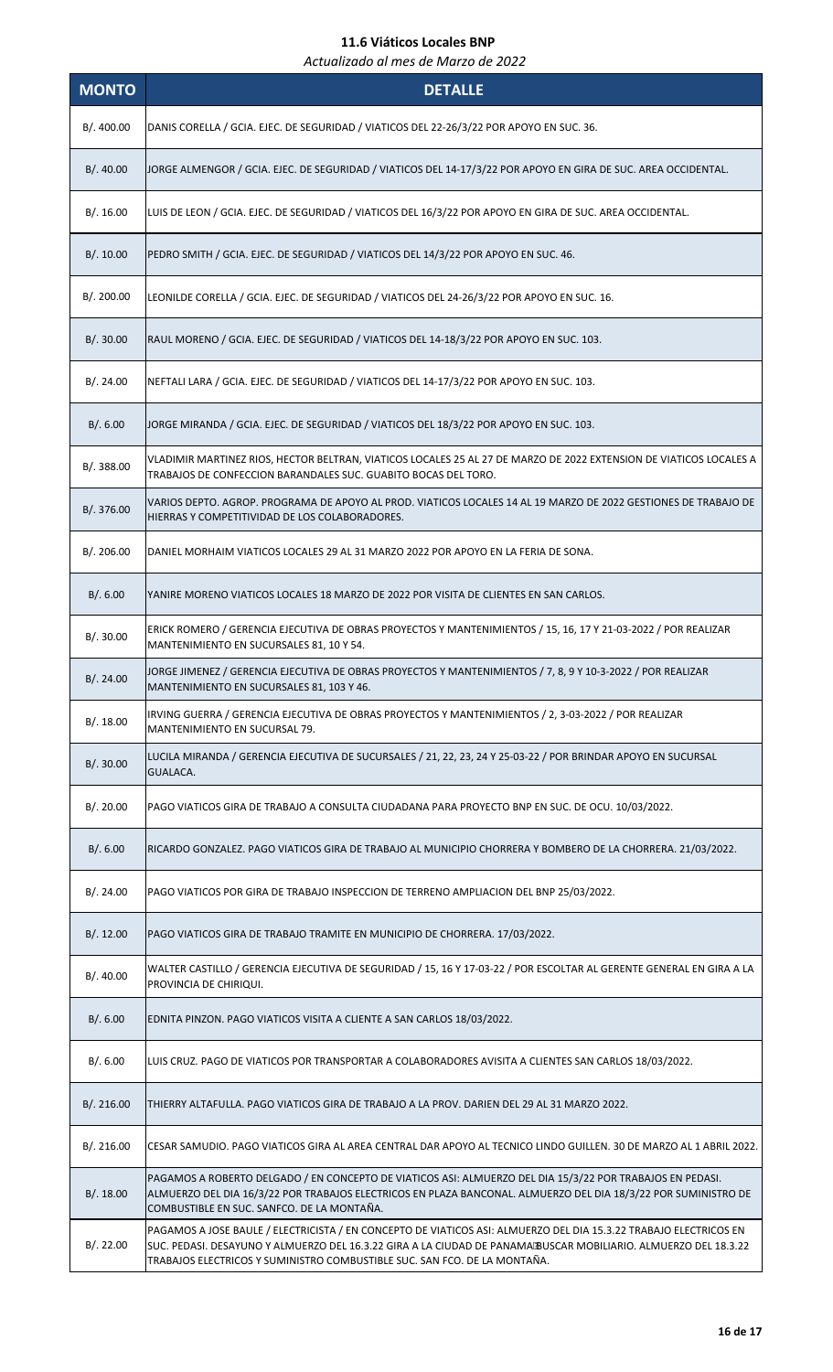| <b>MONTO</b> | <b>DETALLE</b>                                                                                                                                                                                                                                                                                                    |
|--------------|-------------------------------------------------------------------------------------------------------------------------------------------------------------------------------------------------------------------------------------------------------------------------------------------------------------------|
| B/. 400.00   | DANIS CORELLA / GCIA. EJEC. DE SEGURIDAD / VIATICOS DEL 22-26/3/22 POR APOYO EN SUC. 36.                                                                                                                                                                                                                          |
| B/.40.00     | JORGE ALMENGOR / GCIA. EJEC. DE SEGURIDAD / VIATICOS DEL 14-17/3/22 POR APOYO EN GIRA DE SUC. AREA OCCIDENTAL.                                                                                                                                                                                                    |
| B/.16.00     | LUIS DE LEON / GCIA. EJEC. DE SEGURIDAD / VIATICOS DEL 16/3/22 POR APOYO EN GIRA DE SUC. AREA OCCIDENTAL.                                                                                                                                                                                                         |
| B/.10.00     | PEDRO SMITH / GCIA. EJEC. DE SEGURIDAD / VIATICOS DEL 14/3/22 POR APOYO EN SUC. 46.                                                                                                                                                                                                                               |
| B/. 200.00   | LEONILDE CORELLA / GCIA. EJEC. DE SEGURIDAD / VIATICOS DEL 24-26/3/22 POR APOYO EN SUC. 16.                                                                                                                                                                                                                       |
| B/.30.00     | RAUL MORENO / GCIA. EJEC. DE SEGURIDAD / VIATICOS DEL 14-18/3/22 POR APOYO EN SUC. 103.                                                                                                                                                                                                                           |
| B/.24.00     | NEFTALI LARA / GCIA. EJEC. DE SEGURIDAD / VIATICOS DEL 14-17/3/22 POR APOYO EN SUC. 103.                                                                                                                                                                                                                          |
| B/0.6.00     | JORGE MIRANDA / GCIA. EJEC. DE SEGURIDAD / VIATICOS DEL 18/3/22 POR APOYO EN SUC. 103.                                                                                                                                                                                                                            |
| B/. 388.00   | VLADIMIR MARTINEZ RIOS, HECTOR BELTRAN, VIATICOS LOCALES 25 AL 27 DE MARZO DE 2022 EXTENSION DE VIATICOS LOCALES A<br>TRABAJOS DE CONFECCION BARANDALES SUC. GUABITO BOCAS DEL TORO.                                                                                                                              |
| B/. 376.00   | VARIOS DEPTO. AGROP. PROGRAMA DE APOYO AL PROD. VIATICOS LOCALES 14 AL 19 MARZO DE 2022 GESTIONES DE TRABAJO DE<br>HIERRAS Y COMPETITIVIDAD DE LOS COLABORADORES.                                                                                                                                                 |
| B/. 206.00   | DANIEL MORHAIM VIATICOS LOCALES 29 AL 31 MARZO 2022 POR APOYO EN LA FERIA DE SONA.                                                                                                                                                                                                                                |
| B/.6.00      | YANIRE MORENO VIATICOS LOCALES 18 MARZO DE 2022 POR VISITA DE CLIENTES EN SAN CARLOS.                                                                                                                                                                                                                             |
| B/.30.00     | ERICK ROMERO / GERENCIA EJECUTIVA DE OBRAS PROYECTOS Y MANTENIMIENTOS / 15, 16, 17 Y 21-03-2022 / POR REALIZAR<br>MANTENIMIENTO EN SUCURSALES 81, 10 Y 54.                                                                                                                                                        |
| B/.24.00     | JORGE JIMENEZ / GERENCIA EJECUTIVA DE OBRAS PROYECTOS Y MANTENIMIENTOS / 7, 8, 9 Y 10-3-2022 / POR REALIZAR<br>MANTENIMIENTO EN SUCURSALES 81, 103 Y 46.                                                                                                                                                          |
| B/.18.00     | IRVING GUERRA / GERENCIA EJECUTIVA DE OBRAS PROYECTOS Y MANTENIMIENTOS / 2, 3-03-2022 / POR REALIZAR<br>MANTENIMIENTO EN SUCURSAL 79.                                                                                                                                                                             |
| B/.30.00     | LUCILA MIRANDA / GERENCIA EJECUTIVA DE SUCURSALES / 21, 22, 23, 24 Y 25-03-22 / POR BRINDAR APOYO EN SUCURSAL<br>GUALACA.                                                                                                                                                                                         |
| B/.20.00     | PAGO VIATICOS GIRA DE TRABAJO A CONSULTA CIUDADANA PARA PROYECTO BNP EN SUC. DE OCU. 10/03/2022.                                                                                                                                                                                                                  |
| B/. 6.00     | RICARDO GONZALEZ. PAGO VIATICOS GIRA DE TRABAJO AL MUNICIPIO CHORRERA Y BOMBERO DE LA CHORRERA. 21/03/2022.                                                                                                                                                                                                       |
| B/.24.00     | PAGO VIATICOS POR GIRA DE TRABAJO INSPECCION DE TERRENO AMPLIACION DEL BNP 25/03/2022.                                                                                                                                                                                                                            |
| B/.12.00     | PAGO VIATICOS GIRA DE TRABAJO TRAMITE EN MUNICIPIO DE CHORRERA. 17/03/2022.                                                                                                                                                                                                                                       |
| B/.40.00     | WALTER CASTILLO / GERENCIA EJECUTIVA DE SEGURIDAD / 15, 16 Y 17-03-22 / POR ESCOLTAR AL GERENTE GENERAL EN GIRA A LA<br>PROVINCIA DE CHIRIQUI.                                                                                                                                                                    |
| B/.6.00      | EDNITA PINZON. PAGO VIATICOS VISITA A CLIENTE A SAN CARLOS 18/03/2022.                                                                                                                                                                                                                                            |
| B/.6.00      | LUIS CRUZ. PAGO DE VIATICOS POR TRANSPORTAR A COLABORADORES AVISITA A CLIENTES SAN CARLOS 18/03/2022.                                                                                                                                                                                                             |
| B/.216.00    | THIERRY ALTAFULLA. PAGO VIATICOS GIRA DE TRABAJO A LA PROV. DARIEN DEL 29 AL 31 MARZO 2022.                                                                                                                                                                                                                       |
| B/.216.00    | CESAR SAMUDIO. PAGO VIATICOS GIRA AL AREA CENTRAL DAR APOYO AL TECNICO LINDO GUILLEN. 30 DE MARZO AL 1 ABRIL 2022.                                                                                                                                                                                                |
| B/.18.00     | PAGAMOS A ROBERTO DELGADO / EN CONCEPTO DE VIATICOS ASI: ALMUERZO DEL DIA 15/3/22 POR TRABAJOS EN PEDASI.<br>ALMUERZO DEL DIA 16/3/22 POR TRABAJOS ELECTRICOS EN PLAZA BANCONAL. ALMUERZO DEL DIA 18/3/22 POR SUMINISTRO DE<br>COMBUSTIBLE EN SUC. SANFCO. DE LA MONTAÑA.                                         |
| B/.22.00     | PAGAMOS A JOSE BAULE / ELECTRICISTA / EN CONCEPTO DE VIATICOS ASI: ALMUERZO DEL DIA 15.3.22 TRABAJO ELECTRICOS EN<br>SUC. PEDASI. DESAYUNO Y ALMUERZO DEL 16.3.22 GIRA A LA CIUDAD DE PANAMA BUSCAR MOBILIARIO. ALMUERZO DEL 18.3.22<br>TRABAJOS ELECTRICOS Y SUMINISTRO COMBUSTIBLE SUC. SAN FCO. DE LA MONTAÑA. |